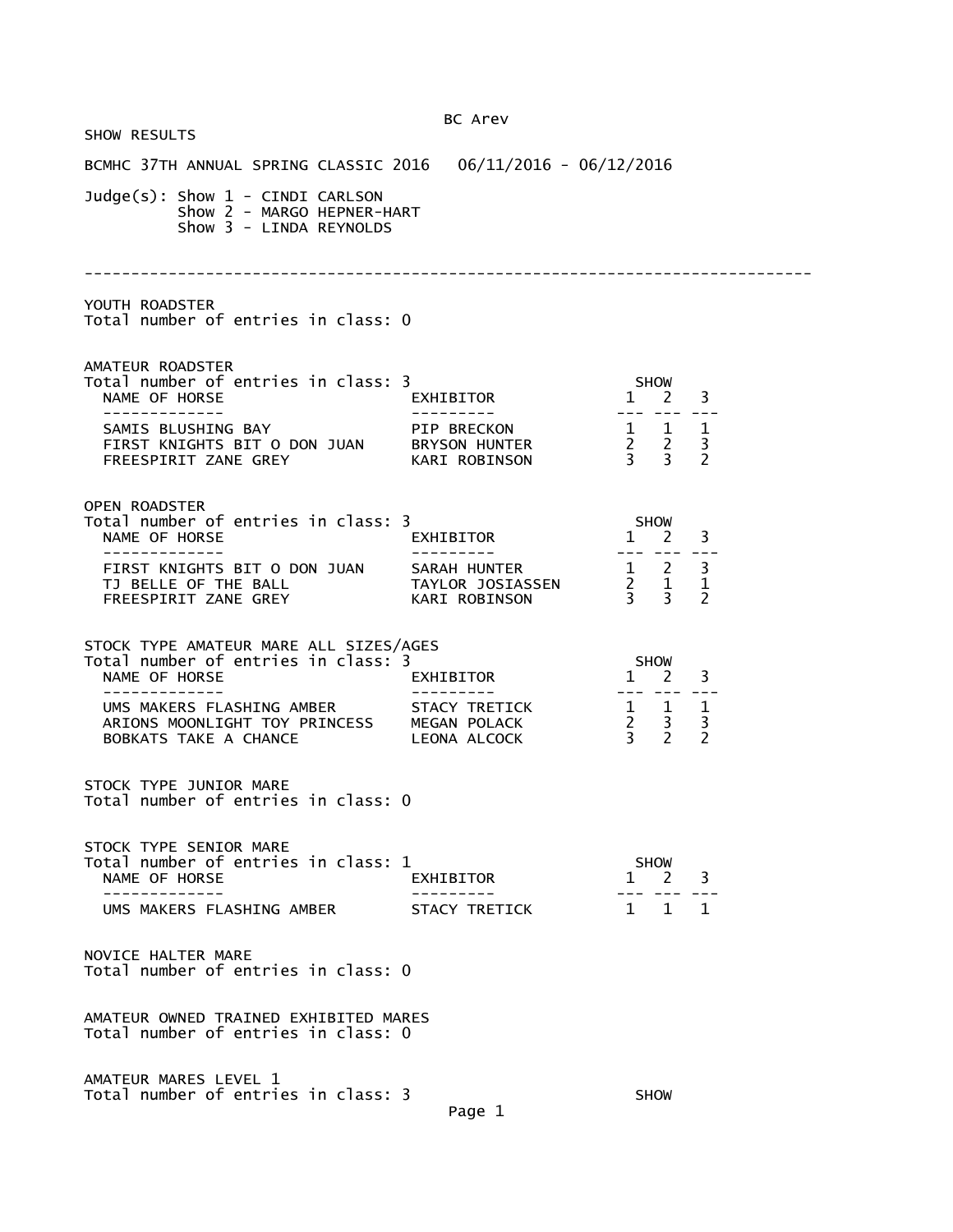| <b>SHOW RESULTS</b>                                                                                                         | BC Arev                      |                                                                          |
|-----------------------------------------------------------------------------------------------------------------------------|------------------------------|--------------------------------------------------------------------------|
| BCMHC 37TH ANNUAL SPRING CLASSIC 2016  06/11/2016 - 06/12/2016                                                              |                              |                                                                          |
| Judge(s): Show 1 - CINDI CARLSON<br>Show 2 - MARGO HEPNER-HART<br>Show 3 - LINDA REYNOLDS                                   |                              |                                                                          |
|                                                                                                                             |                              |                                                                          |
| YOUTH ROADSTER<br>Total number of entries in class: 0                                                                       |                              |                                                                          |
| AMATEUR ROADSTER<br>Total number of entries in class: 3<br>NAME OF HORSE<br>-------------                                   | EXHIBITOR                    | SHOW<br>$1 \quad 2 \quad 3$                                              |
| SAMIS BLUSHING BAY<br>FIRST KNIGHTS BIT O DON JUAN BRYSON HUNTER<br>FREESPIRIT ZANE GREY                                    | PIP BRECKON<br>KARI ROBINSON | $\begin{array}{ccccc}\n1 & 1 & 1 \\ 2 & 2 & 3 \\ 3 & 3 & 2\n\end{array}$ |
| <b>OPEN ROADSTER</b><br>Total number of entries in class: 3<br>NAME OF HORSE<br>-------------                               | EXHIBITOR                    | <b>SHOW</b><br>$\frac{1}{1}$ $\frac{2}{1}$ $\frac{3}{1}$                 |
| FIRST KNIGHTS BIT O DON JUAN SARAH HUNTER 1 2 3                                                                             |                              | $\begin{array}{cccc} 2 & 1 & 1 \\ 3 & 3 & 2 \end{array}$                 |
| STOCK TYPE AMATEUR MARE ALL SIZES/AGES<br>Total number of entries in class: 3<br>NAME OF HORSE<br>-------------             | EXHIBITOR<br>--------        | <b>SHOW</b><br>$1 \quad 2 \quad 3$<br>--- --- ---                        |
| UMS MAKERS FLASHING AMBER STACY TRETICK<br>ARIONS MOONLIGHT TOY PRINCESS MEGAN POLACK<br>BOBKATS TAKE A CHANCE LEONA ALCOCK |                              | $\begin{array}{cccc} 1 & 1 & 1 \\ 2 & 3 & 3 \\ 3 & 2 & 2 \end{array}$    |
| STOCK TYPE JUNIOR MARE<br>Total number of entries in class: 0                                                               |                              |                                                                          |
| STOCK TYPE SENIOR MARE<br>Total number of entries in class: 1<br>NAME OF HORSE                                              | EXHIBITOR                    | <b>SHOW</b><br>3<br>2<br>$\mathbf{1}$                                    |
| UMS MAKERS FLASHING AMBER                                                                                                   | <b>STACY TRETTCK</b>         | $1 \quad 1$<br>$\overline{1}$                                            |
| NOVICE HALTER MARE<br>Total number of entries in class: 0                                                                   |                              |                                                                          |
| AMATEUR OWNED TRAINED EXHIBITED MARES<br>Total number of entries in class: 0                                                |                              |                                                                          |
| AMATEUR MARES LEVEL 1<br>Total number of entries in class: 3                                                                | Page 1                       | <b>SHOW</b>                                                              |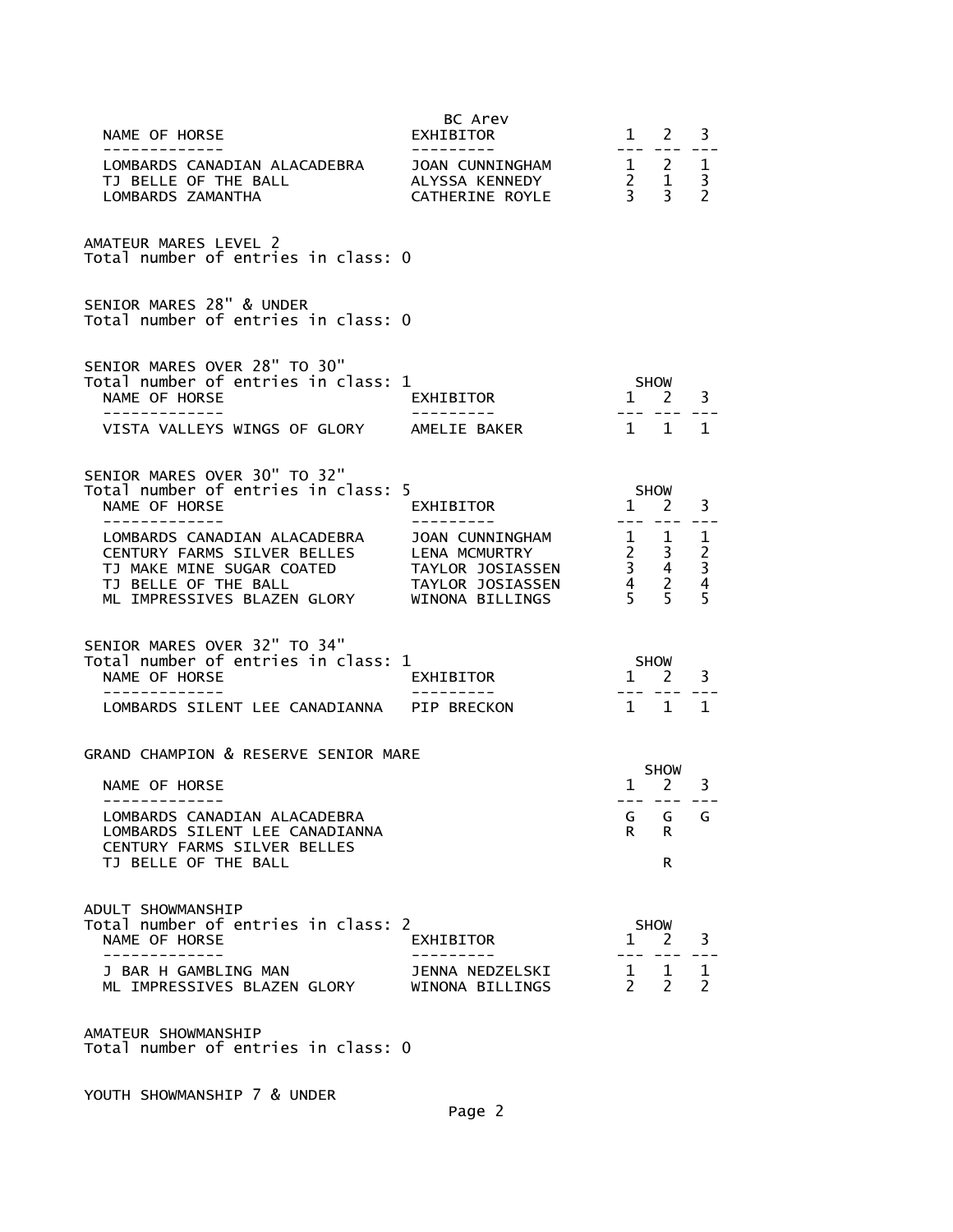| NAME OF HORSE                                                                                                                                                                                   | BC Arev<br>EXHIBITOR                                                                        |                                  | $1 \quad 2$                                                                    | 3                                                    |
|-------------------------------------------------------------------------------------------------------------------------------------------------------------------------------------------------|---------------------------------------------------------------------------------------------|----------------------------------|--------------------------------------------------------------------------------|------------------------------------------------------|
| ------------<br>LOMBARDS CANADIAN ALACADEBRA<br>TJ BELLE OF THE BALL<br>LOMBARDS ZAMANTHA                                                                                                       | JOAN CUNNINGHAM<br>ALYSSA KENNEDY<br>CATHERINE ROYLE                                        |                                  | $1 \quad 2 \quad 1$<br>$\begin{array}{cc} 2 & 1 \\ 3 & 3 \end{array}$          | $\overline{3}$<br>$\overline{2}$                     |
| AMATEUR MARES LEVEL 2<br>Total number of entries in class: 0                                                                                                                                    |                                                                                             |                                  |                                                                                |                                                      |
| SENIOR MARES 28" & UNDER<br>Total number of entries in class: 0                                                                                                                                 |                                                                                             |                                  |                                                                                |                                                      |
| SENIOR MARES OVER 28" TO 30"<br>Total number of entries in class: 1<br>NAME OF HORSE<br>VISTA VALLEYS WINGS OF GLORY                                                                            | EXHIBITOR<br>AMELIE BAKER                                                                   | $1 \quad$                        | <b>SHOW</b><br>$2^{\circ}$<br>1 1                                              | 3<br>1                                               |
| SENIOR MARES OVER 30" TO 32"<br>Total number of entries in class: 5<br>NAME OF HORSE<br>-----------                                                                                             | EXHIBITOR                                                                                   | $1 \quad 2$                      | <b>SHOW</b>                                                                    | 3                                                    |
| LOMBARDS CANADIAN ALACADEBRA<br>CENTURY FARMS SILVER BELLES<br>TJ MAKE MINE SUGAR COATED<br>TJ BELLE OF THE BALL<br>ML IMPRESSIVES BLAZEN GLORY                                                 | JOAN CUNNINGHAM<br>LENA MCMURTRY<br>TAYLOR JOSIASSEN<br>TAYLOR JOSIASSEN<br>WINONA BILLINGS | $\frac{1}{2}$                    | $1 \quad$<br>$\begin{array}{ccc} 2 & 3 \\ 3 & 4 \\ 4 & 2 \\ 5 & 5 \end{array}$ | 1<br>$\begin{array}{c} 2 \\ 3 \\ 4 \end{array}$<br>5 |
| SENIOR MARES OVER 32" TO 34"<br>Total number of entries in class: 1<br>NAME OF HORSE                                                                                                            | EXHIBITOR                                                                                   | SHOW<br>$1 \quad 2$              |                                                                                | 3                                                    |
| LOMBARDS SILENT LEE CANADIANNA PIP BRECKON                                                                                                                                                      |                                                                                             |                                  | 1 1                                                                            | 1                                                    |
| GRAND CHAMPION & RESERVE SENIOR MARE<br>NAME OF HORSE<br>-------------<br>LOMBARDS CANADIAN ALACADEBRA<br>LOMBARDS SILENT LEE CANADIANNA<br>CENTURY FARMS SILVER BELLES<br>TJ BELLE OF THE BALL |                                                                                             | G<br>R                           | SHOW<br>$1 \quad 2$<br>--- ---<br>G<br>R<br>R                                  | 3<br>G                                               |
| ADULT SHOWMANSHIP<br>Total number of entries in class: 2<br>NAME OF HORSE<br>J BAR H GAMBLING MAN<br>ML IMPRESSIVES BLAZEN GLORY                                                                | EXHIBITOR<br>JENNA NEDZELSKI<br>WINONA BILLINGS                                             | $\mathbf{1}$<br>$1 \quad$<br>2 2 | <b>SHOW</b><br>2<br>1                                                          | 3<br>1<br>$\overline{2}$                             |
| AMATEUR SHOWMANSHIP<br>Total number of entries in class: 0                                                                                                                                      |                                                                                             |                                  |                                                                                |                                                      |

YOUTH SHOWMANSHIP 7 & UNDER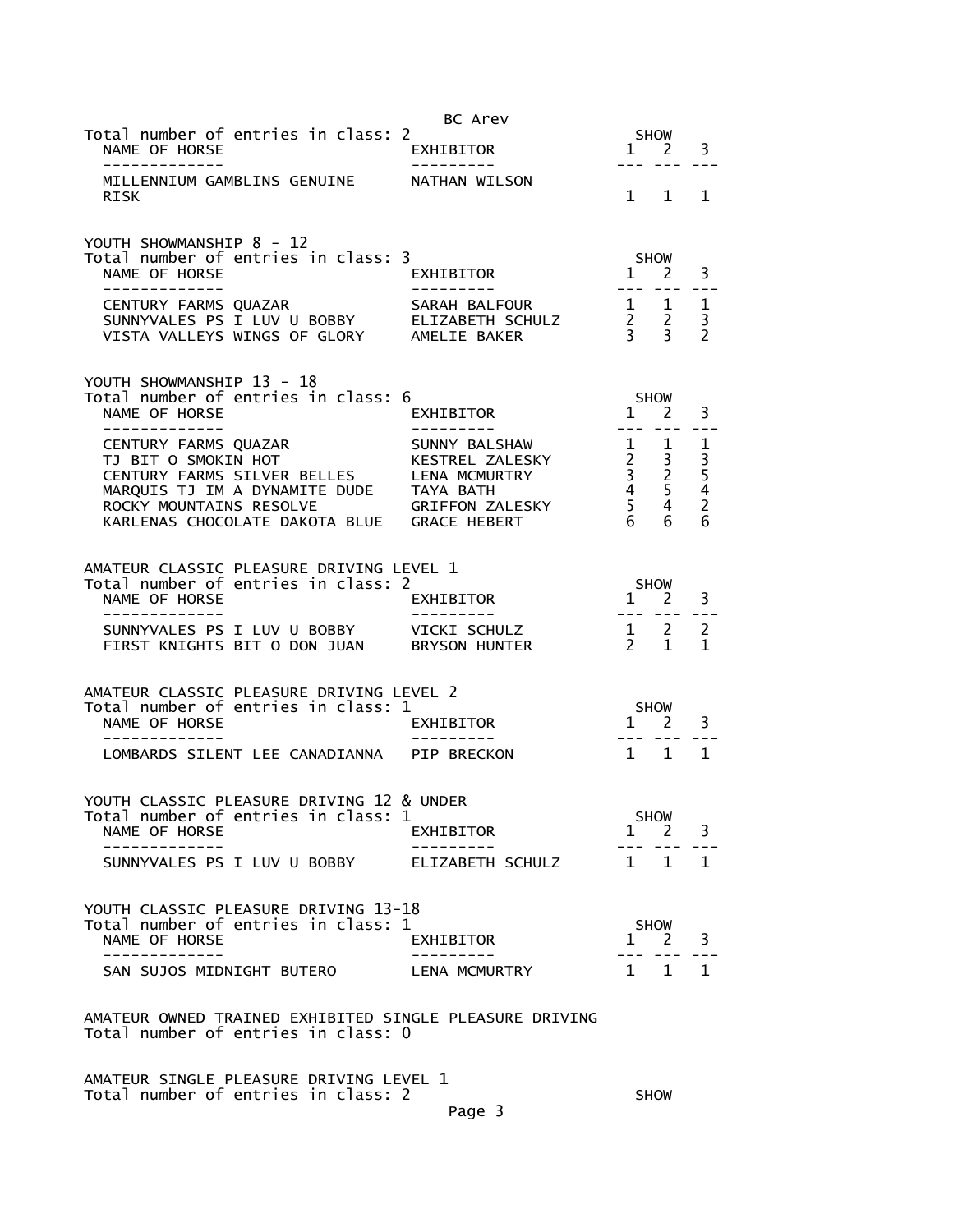|                                                                                                                                                                                                                 | BC Arev                                           |                                                                                                                                                                                                                                                                                                                                                                                                   |                                                                             |                                           |
|-----------------------------------------------------------------------------------------------------------------------------------------------------------------------------------------------------------------|---------------------------------------------------|---------------------------------------------------------------------------------------------------------------------------------------------------------------------------------------------------------------------------------------------------------------------------------------------------------------------------------------------------------------------------------------------------|-----------------------------------------------------------------------------|-------------------------------------------|
| Total number of entries in class: 2<br>NAME OF HORSE<br>-------------                                                                                                                                           | EXHIBITOR                                         | $---$                                                                                                                                                                                                                                                                                                                                                                                             | <b>SHOW</b><br>$1 \quad 2$<br>$- - -$                                       | 3                                         |
| MILLENNIUM GAMBLINS GENUINE<br><b>RISK</b>                                                                                                                                                                      | NATHAN WILSON                                     |                                                                                                                                                                                                                                                                                                                                                                                                   | $1 \quad 1$                                                                 | 1                                         |
| YOUTH SHOWMANSHIP 8 - 12<br>Total number of entries in class: 3<br>NAME OF HORSE<br>-------------                                                                                                               | EXHIBITOR                                         | SHOW<br>$\mathbf{1}$                                                                                                                                                                                                                                                                                                                                                                              | <sup>2</sup>                                                                | 3                                         |
| CENTURY FARMS QUAZAR<br>SUNNYVALES PS I LUV U BOBBY ELIZABETH SCHULZ<br>VISTA VALLEYS WINGS OF GLORY AMELIE BAKER                                                                                               | SARAH BALFOUR                                     |                                                                                                                                                                                                                                                                                                                                                                                                   | $\begin{array}{ccc} 1 & 1 \\ 2 & 2 \\ 3 & 3 \end{array}$                    | 1<br>3<br>$\overline{\phantom{0}}$        |
| YOUTH SHOWMANSHIP 13 - 18<br>Total number of entries in class: 6<br>NAME OF HORSE<br>--------------                                                                                                             | EXHIBITOR<br>.                                    | 1<br>$\frac{1}{2} \frac{1}{2} \frac{1}{2} \frac{1}{2} \frac{1}{2} \frac{1}{2} \frac{1}{2} \frac{1}{2} \frac{1}{2} \frac{1}{2} \frac{1}{2} \frac{1}{2} \frac{1}{2} \frac{1}{2} \frac{1}{2} \frac{1}{2} \frac{1}{2} \frac{1}{2} \frac{1}{2} \frac{1}{2} \frac{1}{2} \frac{1}{2} \frac{1}{2} \frac{1}{2} \frac{1}{2} \frac{1}{2} \frac{1}{2} \frac{1}{2} \frac{1}{2} \frac{1}{2} \frac{1}{2} \frac{$ | SHOW<br>2<br>$- - -$                                                        | 3<br>$- -$                                |
| CENTURY FARMS QUAZAR<br>TJ BIT O SMOKIN HOT<br>CENTURY FARMS SILVER BELLES<br>MARQUIS TJ IM A DYNAMITE DUDE TAYA BATH<br>ROCKY MOUNTAINS RESOLVE GRIFFON ZALESKY<br>KARLENAS CHOCOLATE DAKOTA BLUE GRACE HEBERT | SUNNY BALSHAW<br>KESTREL ZALESKY<br>LENA MCMURTRY | 1<br>$\frac{2}{3}$<br>4<br>5 <sup>7</sup><br>6                                                                                                                                                                                                                                                                                                                                                    | 1<br>$\mathbf{3}$<br>$\frac{3}{2}$<br>5 <sup>1</sup><br>$\overline{4}$<br>6 | 1<br>$\frac{3}{5}$<br>$\overline{2}$<br>6 |
| AMATEUR CLASSIC PLEASURE DRIVING LEVEL 1<br>Total number of entries in class: 2<br>NAME OF HORSE<br>-------------                                                                                               | EXHIBITOR<br>---------                            | $\mathbf{1}$<br>$\begin{array}{cccccc} - & - & - & - & - \\ & - & - & - & - \end{array}$                                                                                                                                                                                                                                                                                                          | <b>SHOW</b><br>2                                                            | 3                                         |
| SUNNYVALES PS I LUV U BOBBY VICKI SCHULZ<br>FIRST KNIGHTS BIT O DON JUAN                                                                                                                                        | <b>BRYSON HUNTER</b>                              | $1 \quad 2$<br>$2^{\circ}$                                                                                                                                                                                                                                                                                                                                                                        | $\mathbf{1}$                                                                | 2<br>1                                    |
| AMATEUR CLASSIC PLEASURE DRIVING LEVEL 2<br>Total number of entries in class: 1<br>NAME OF HORSE                                                                                                                | EXHIBITOR                                         | SHOW<br>$\mathbf{1}$                                                                                                                                                                                                                                                                                                                                                                              | $\mathbf{2}$                                                                | 3                                         |
| LOMBARDS SILENT LEE CANADIANNA PIP BRECKON                                                                                                                                                                      |                                                   | 1 1                                                                                                                                                                                                                                                                                                                                                                                               |                                                                             | $\mathbf{1}$                              |
| YOUTH CLASSIC PLEASURE DRIVING 12 & UNDER<br>Total number of entries in class: 1<br>NAME OF HORSE                                                                                                               | EXHIBITOR                                         | $\mathbf{1}$                                                                                                                                                                                                                                                                                                                                                                                      | <b>SHOW</b><br>$\mathcal{P}$                                                | 3                                         |
| SUNNYVALES PS I LUV U BOBBY                                                                                                                                                                                     | ELIZABETH SCHULZ                                  | $\mathbf{1}$                                                                                                                                                                                                                                                                                                                                                                                      | 1                                                                           | 1.                                        |
| YOUTH CLASSIC PLEASURE DRIVING 13-18<br>Total number of entries in class: 1<br>NAME OF HORSE                                                                                                                    | EXHIBITOR                                         |                                                                                                                                                                                                                                                                                                                                                                                                   | <b>SHOW</b><br>$1 \quad 2$                                                  | 3                                         |
| SAN SUJOS MIDNIGHT BUTERO                                                                                                                                                                                       | LENA MCMURTRY                                     |                                                                                                                                                                                                                                                                                                                                                                                                   | $1 \quad 1$                                                                 | $\mathbf{1}$                              |
| AMATEUR OWNED TRAINED EXHIBITED SINGLE PLEASURE DRIVING<br>Total number of entries in class: 0<br>AMATEUR SINGLE PLEASURE DRIVING LEVEL 1                                                                       |                                                   |                                                                                                                                                                                                                                                                                                                                                                                                   |                                                                             |                                           |
|                                                                                                                                                                                                                 |                                                   |                                                                                                                                                                                                                                                                                                                                                                                                   |                                                                             |                                           |

Total number of entries in class: 2 SHOW

Page 3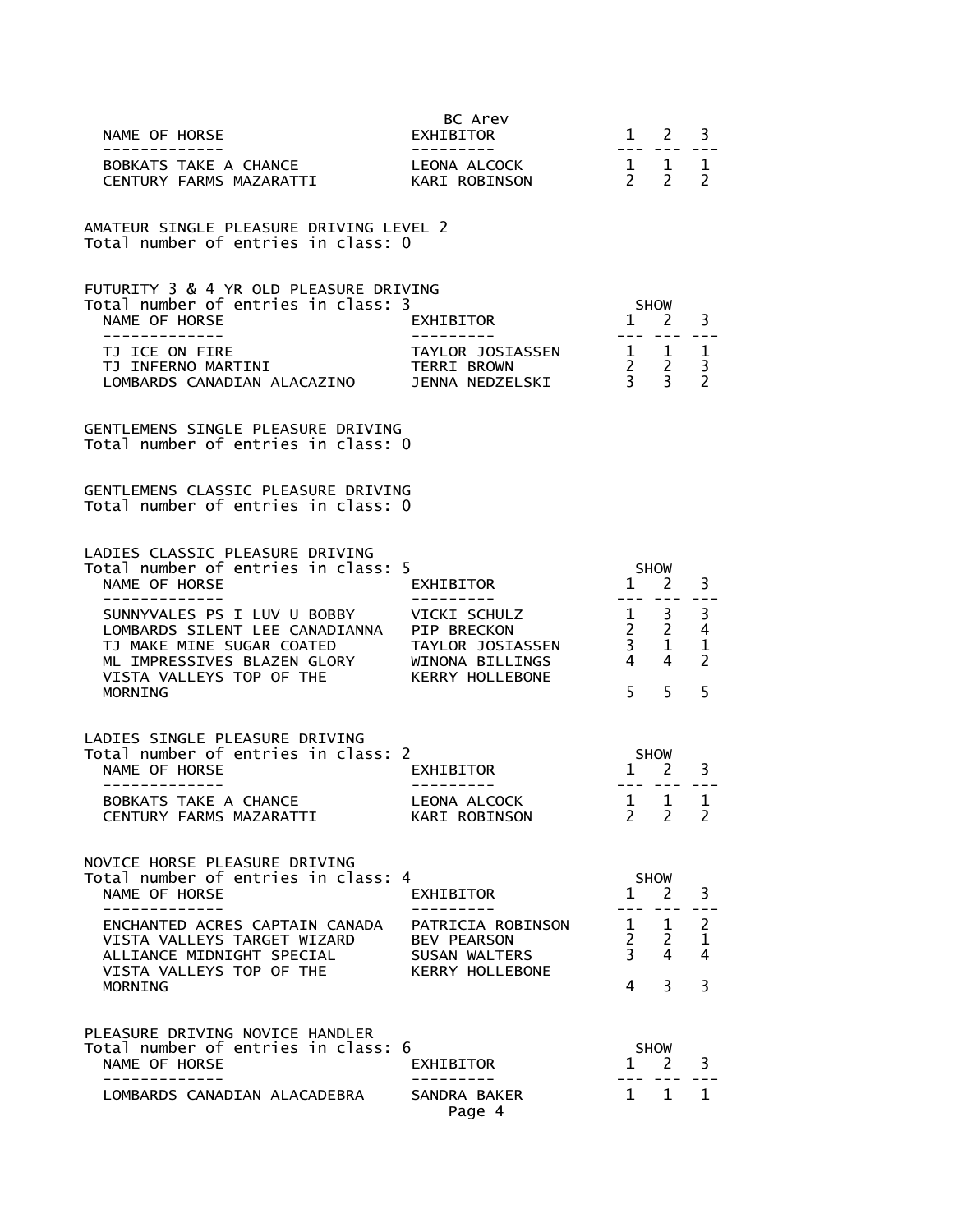| NAME OF HORSE                                                                                                                                                                                                       | BC Arev<br>EXHIBITOR                                     |                                                                       | $1 \quad 2$                 | 3                                        |
|---------------------------------------------------------------------------------------------------------------------------------------------------------------------------------------------------------------------|----------------------------------------------------------|-----------------------------------------------------------------------|-----------------------------|------------------------------------------|
| -------------<br>BOBKATS TAKE A CHANCE LEONA ALCOCK<br>CENTURY FARMS MAZARATTI KARI ROBINSON                                                                                                                        |                                                          | $- - -$<br>$\begin{array}{cccc}\n1 & 1 & 1 \\ 2 & 2 & 2\n\end{array}$ |                             |                                          |
| AMATEUR SINGLE PLEASURE DRIVING LEVEL 2<br>Total number of entries in class: 0                                                                                                                                      |                                                          |                                                                       |                             |                                          |
| FUTURITY 3 & 4 YR OLD PLEASURE DRIVING<br>Total number of entries in class: 3                                                                                                                                       |                                                          | SHOW                                                                  |                             |                                          |
| NAME OF HORSE<br>-------------                                                                                                                                                                                      | EXHIBITOR                                                | $\overline{1}$                                                        | <sup>2</sup>                | 3                                        |
| TJ ICE ON FIRE<br>TJ INFERNO MARTINI<br>LOMBARDS CANADIAN ALACAZINO                                                                                                                                                 |                                                          |                                                                       |                             |                                          |
| GENTLEMENS SINGLE PLEASURE DRIVING<br>Total number of entries in class: 0                                                                                                                                           |                                                          |                                                                       |                             |                                          |
| GENTLEMENS CLASSIC PLEASURE DRIVING<br>Total number of entries in class: 0                                                                                                                                          |                                                          |                                                                       |                             |                                          |
| LADIES CLASSIC PLEASURE DRIVING<br>Total number of entries in class: 5                                                                                                                                              |                                                          |                                                                       |                             |                                          |
| NAME OF HORSE<br>-------------                                                                                                                                                                                      | EXHIBITOR<br>---------                                   | $1 \quad 2$<br>--- --- ---                                            | SHOW                        | 3                                        |
| SUNNYVALES PS I LUV U BOBBY VICKI SCHULZ<br>LOMBARDS SILENT LEE CANADIANNA<br>TJ MAKE MINE SUGAR COATED TAYLOR JOSIASSEN<br>ML IMPRESSIVES BLAZEN GLORY WINONA BILLINGS<br>VISTA VALLEYS TOP OF THE KERRY HOLLEBONE |                                                          | $\begin{array}{ccc} 1 & 3 \\ 2 & 2 \\ 3 & 1 \\ 4 & 4 \end{array}$     |                             | 3<br>4<br>$\mathbf{1}$<br>$\overline{2}$ |
| MORNING                                                                                                                                                                                                             |                                                          | 5 <sup>7</sup>                                                        | 5                           | 5                                        |
| LADIES SINGLE PLEASURE DRIVING                                                                                                                                                                                      |                                                          |                                                                       |                             |                                          |
| Total number of entries in class: 2<br>NAME OF HORSE                                                                                                                                                                | EXHIBITOR                                                | SHOW<br>$1$ <sup>on</sup>                                             | 2                           | 3                                        |
| - - - - - - - - - - - - - -<br>BOBKATS TAKE A CHANCE<br>CENTURY FARMS MAZARATTI                                                                                                                                     | ----------<br>LEONA ALCOCK<br>KARI ROBINSON              | $1 \quad 1$<br>2.                                                     | 2                           | $\mathbf 1$<br>2                         |
| NOVICE HORSE PLEASURE DRIVING                                                                                                                                                                                       |                                                          |                                                                       |                             |                                          |
| Total number of entries in class: 4<br>NAME OF HORSE                                                                                                                                                                | EXHIBITOR                                                | $\mathbf{1}$                                                          | <b>SHOW</b><br><sup>2</sup> | 3                                        |
| ENCHANTED ACRES CAPTAIN CANADA<br>VISTA VALLEYS TARGET WIZARD<br>ALLIANCE MIDNIGHT SPECIAL                                                                                                                          | PATRICIA ROBINSON<br><b>BEV PEARSON</b><br>SUSAN WALTERS | $1 \quad$<br>$\frac{2}{3}$                                            | $\mathbf{1}$<br>2<br>4      | $\overline{2}$<br>$\mathbf{1}$<br>4      |
| VISTA VALLEYS TOP OF THE<br>MORNING                                                                                                                                                                                 | KERRY HOLLEBONE                                          | 4                                                                     | 3                           | 3                                        |
| PLEASURE DRIVING NOVICE HANDLER                                                                                                                                                                                     |                                                          |                                                                       |                             |                                          |
| Total number of entries in class: 6<br>NAME OF HORSE                                                                                                                                                                | EXHIBITOR                                                |                                                                       | <b>SHOW</b><br>$1 \quad 2$  | 3                                        |
| . _ _ _ _ _ _ _ _ _ _<br>LOMBARDS CANADIAN ALACADEBRA                                                                                                                                                               | SANDRA BAKER<br>Page 4                                   | $\mathbf{1}$                                                          | $\mathbf{1}$                | $\mathbf{1}$                             |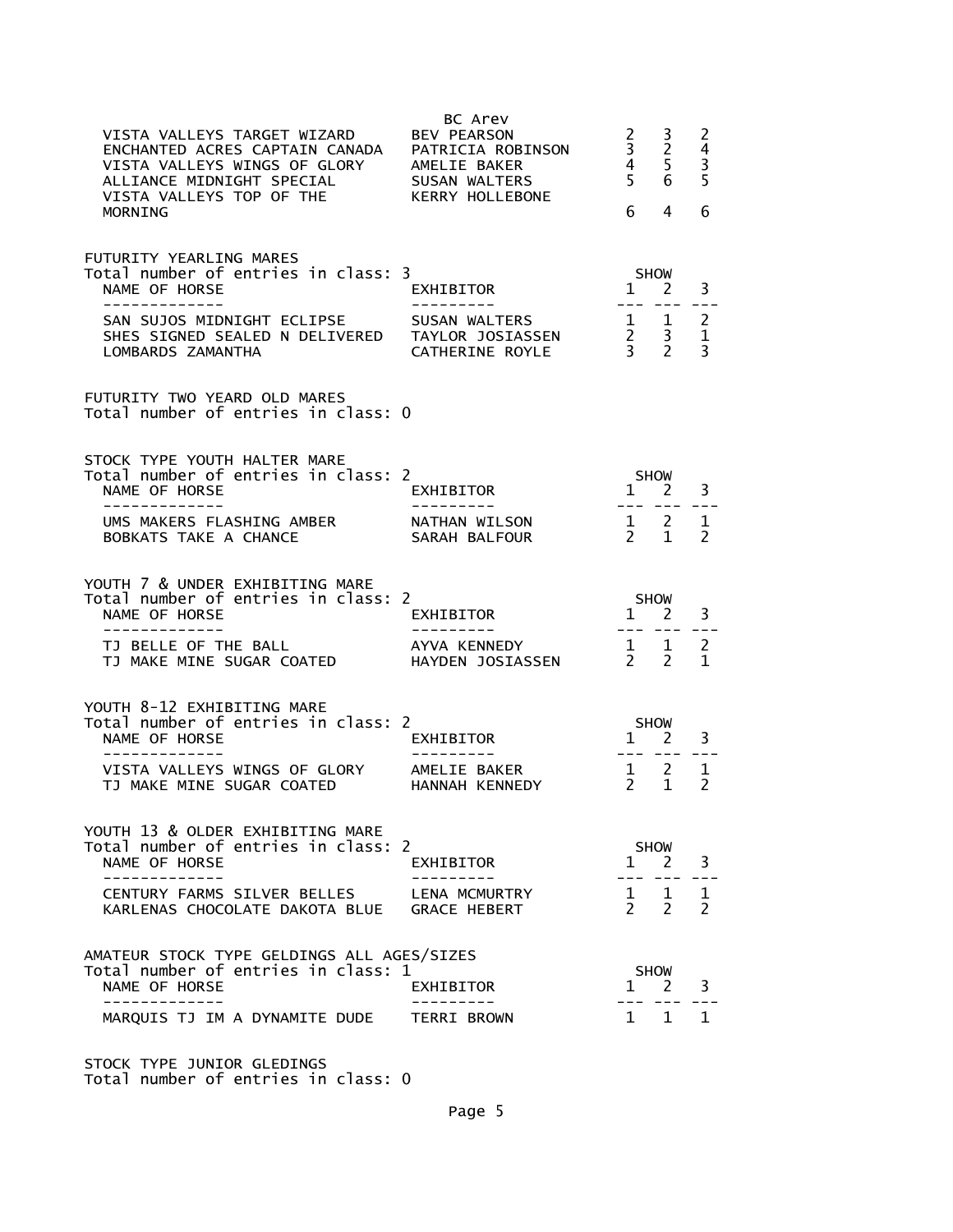| VISTA VALLEYS TARGET WIZARD       BEV PEARSON<br>ENCHANTED ACRES CAPTAIN CANADA PATRICIA ROBINSON<br>VISTA VALLEYS WINGS OF GLORY AMELIE BAKER<br>ALLIANCE MIDNIGHT SPECIAL SUSAN WALTERS<br>VISTA VALLEYS TOP OF THE KERRY HOLLEBONE<br>MORNING | BC Arev                              | $\mathbf{2}$<br>$\begin{array}{c} 3 \\ 4 \\ 5 \end{array}$<br>6                   | 3<br>$\overline{2}$<br>5<br>6 <sup>1</sup><br>4 | 2<br>$\overline{4}$<br>$\frac{3}{5}$<br>6 |  |
|--------------------------------------------------------------------------------------------------------------------------------------------------------------------------------------------------------------------------------------------------|--------------------------------------|-----------------------------------------------------------------------------------|-------------------------------------------------|-------------------------------------------|--|
| FUTURITY YEARLING MARES                                                                                                                                                                                                                          |                                      |                                                                                   |                                                 |                                           |  |
| Total number of entries in class: 3<br>NAME OF HORSE<br>--------------                                                                                                                                                                           | EXHIBITOR<br>---------               | <b>SHOW</b><br>$1 \quad 2$                                                        | --- --- --                                      | 3                                         |  |
| SAN SUJOS MIDNIGHT ECLIPSE SUSAN WALTERS<br>SHES SIGNED SEALED N DELIVERED TAYLOR JOSIASSEN<br>LOMBARDS ZAMANTHA                                                                                                                                 | CATHERINE ROYLE                      | $\begin{array}{cc} 1 & 1 \\ 2 & 3 \\ 3 & 2 \end{array}$                           |                                                 | $\overline{c}$<br>$\mathbf{1}$<br>3       |  |
| FUTURITY TWO YEARD OLD MARES<br>Total number of entries in class: 0                                                                                                                                                                              |                                      |                                                                                   |                                                 |                                           |  |
| STOCK TYPE YOUTH HALTER MARE<br>Total number of entries in class: 2                                                                                                                                                                              |                                      |                                                                                   | <b>SHOW</b>                                     |                                           |  |
| NAME OF HORSE<br>-------------                                                                                                                                                                                                                   | EXHIBITOR<br>---------               | $1 \nightharpoonup 2$<br>---- --- ---                                             |                                                 | 3                                         |  |
| UMS MAKERS FLASHING AMBER<br>BOBKATS TAKE A CHANCE                                                                                                                                                                                               | NATHAN WILSON<br>SARAH BALFOUR       | $\begin{array}{cc} 1 & 2 \\ 2 & 1 \end{array}$                                    |                                                 | $\mathbf 1$<br>$\mathcal{P}$              |  |
| YOUTH 7 & UNDER EXHIBITING MARE<br>Total number of entries in class: 2                                                                                                                                                                           |                                      |                                                                                   |                                                 |                                           |  |
| NAME OF HORSE<br>-------------                                                                                                                                                                                                                   | EXHIBITOR<br>. <u>.</u>              | $5HOW$<br>$1 2$<br>$---$                                                          |                                                 | 3                                         |  |
| TJ BELLE OF THE BALL<br>TJ MAKE MINE SUGAR COATED                                                                                                                                                                                                | AYVA KENNEDY<br>HAYDEN JOSIASSEN     | $\begin{matrix} 1 & 1 \\ 2 & 2 \end{matrix}$                                      |                                                 | $\overline{2}$<br>$\mathbf{1}$            |  |
| YOUTH 8-12 EXHIBITING MARE<br>Total number of entries in class: 2<br>NAME OF HORSE                                                                                                                                                               | EXHIBITOR                            | <b>SHOW</b><br>$1 \quad 2$                                                        |                                                 | 3                                         |  |
| --------------<br>VISTA VALLEYS WINGS OF GLORY AMELIE BAKER<br>TJ MAKE MINE SUGAR COATED HANNAH KENNEDY                                                                                                                                          |                                      | $\begin{array}{ccccccccc}\n & & 1 & & 2 & & 1 \\  & & 2 & & 1 & & 2\n\end{array}$ |                                                 |                                           |  |
| YOUTH 13 & OLDER EXHIBITING MARE                                                                                                                                                                                                                 |                                      |                                                                                   |                                                 |                                           |  |
| Total number of entries in class: 2<br>NAME OF HORSE                                                                                                                                                                                             | EXHIBITOR                            |                                                                                   | <b>SHOW</b><br>$1 \quad 2$                      | 3                                         |  |
| CENTURY FARMS SILVER BELLES<br>KARLENAS CHOCOLATE DAKOTA BLUE                                                                                                                                                                                    | LENA MCMURTRY<br><b>GRACE HEBERT</b> | $\overline{2}$                                                                    | $1 \quad 1$<br>2                                | 1<br>2                                    |  |
| AMATEUR STOCK TYPE GELDINGS ALL AGES/SIZES                                                                                                                                                                                                       |                                      |                                                                                   |                                                 |                                           |  |
| Total number of entries in class: 1<br>NAME OF HORSE                                                                                                                                                                                             | EXHIBITOR                            | $\mathbf{1}$                                                                      | SHOW<br>2                                       | 3                                         |  |
| -----------<br>MARQUIS TJ IM A DYNAMITE DUDE                                                                                                                                                                                                     | TERRI BROWN                          | 1                                                                                 | 1                                               | 1                                         |  |
|                                                                                                                                                                                                                                                  |                                      |                                                                                   |                                                 |                                           |  |

STOCK TYPE JUNIOR GLEDINGS Total number of entries in class: 0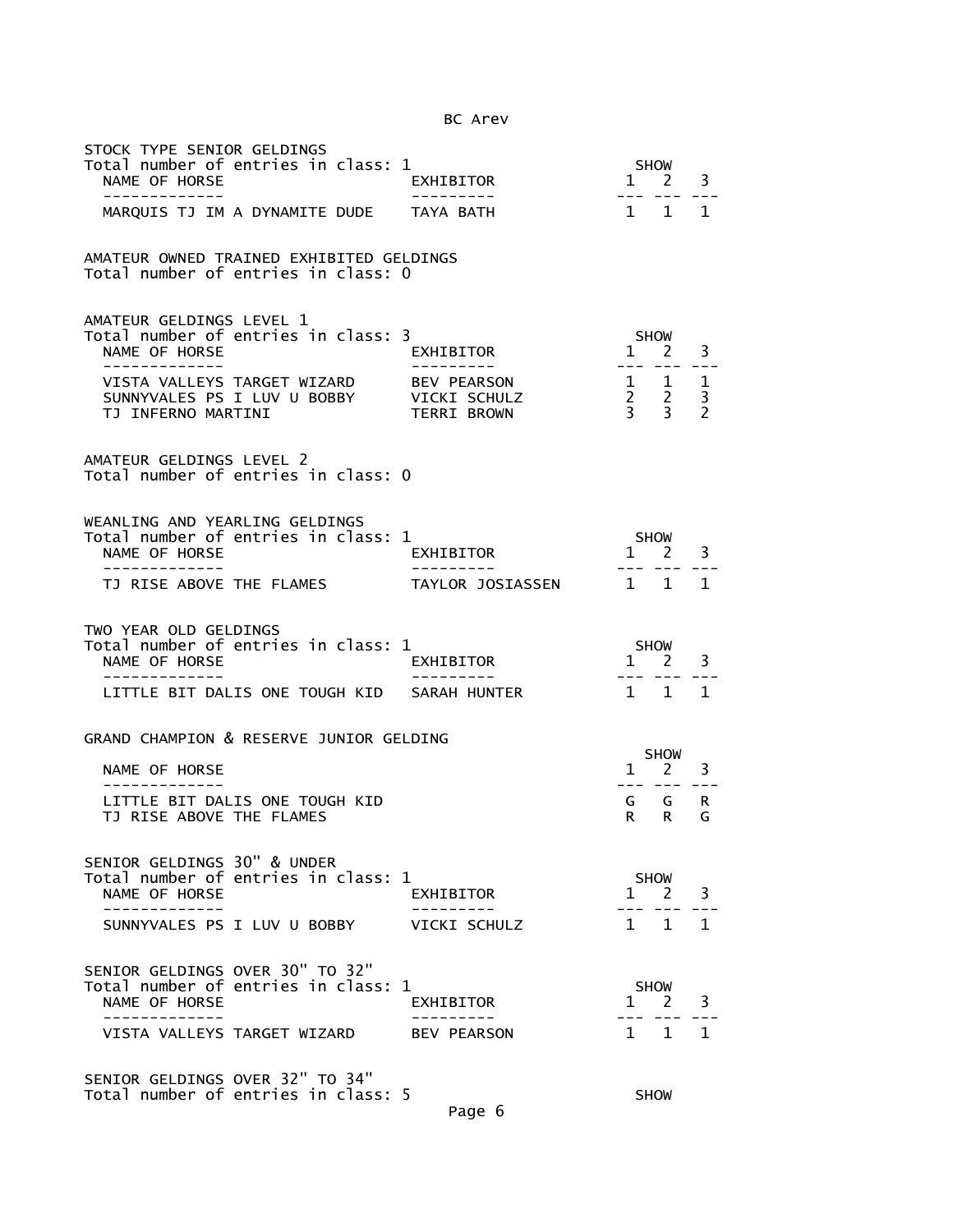| STOCK TYPE SENIOR GELDINGS<br>Total number of entries in class: 1<br>NAME OF HORSE<br>-------------                 | EXHIBITOR<br>----------                           |              | SHOW<br>$1 \quad 2$<br>--- ---                           | 3                                   |
|---------------------------------------------------------------------------------------------------------------------|---------------------------------------------------|--------------|----------------------------------------------------------|-------------------------------------|
| MARQUIS TJ IM A DYNAMITE DUDE TAYA BATH                                                                             |                                                   |              | $1 \quad 1$                                              | $\mathbf{1}$                        |
| AMATEUR OWNED TRAINED EXHIBITED GELDINGS<br>Total number of entries in class: 0                                     |                                                   |              |                                                          |                                     |
| AMATEUR GELDINGS LEVEL 1<br>Total number of entries in class: 3<br>NAME OF HORSE<br>-----------                     | EXHIBITOR                                         |              | <b>SHOW</b><br>$1 \quad 2$<br>--- --- --                 | 3                                   |
| VISTA VALLEYS TARGET WIZARD<br>SUNNYVALES PS I LUV U BOBBY<br>TJ INFERNO MARTINI                                    | BEV PEARSON<br>VICKI SCHULZ<br><b>TERRI BROWN</b> |              | $\begin{array}{ccc} 1 & 1 \\ 2 & 2 \\ 3 & 3 \end{array}$ | $\mathbf{1}$<br>3<br>$\overline{2}$ |
| AMATEUR GELDINGS LEVEL 2<br>Total number of entries in class: 0                                                     |                                                   |              |                                                          |                                     |
| WEANLING AND YEARLING GELDINGS<br>Total number of entries in class: 1<br>NAME OF HORSE<br>. _ _ _ _ _ _ _ _ _ _ _ _ | EXHIBITOR<br>----------                           |              | SHOW<br>$1 \quad 2$                                      | 3                                   |
| TJ RISE ABOVE THE FLAMES                                                                                            | TAYLOR JOSIASSEN                                  |              | $1 \quad 1$                                              | 1                                   |
| TWO YEAR OLD GELDINGS<br>Total number of entries in class: 1<br>NAME OF HORSE                                       | EXHIBITOR                                         | 1            | SHOW<br>2                                                | 3                                   |
| -----------<br>LITTLE BIT DALIS ONE TOUGH KID SARAH HUNTER                                                          |                                                   | 1 1          | $\frac{1}{2}$                                            | 1                                   |
| GRAND CHAMPION & RESERVE JUNIOR GELDING                                                                             |                                                   |              |                                                          |                                     |
| NAME OF HORSE                                                                                                       |                                                   | $\mathbf{1}$ | <b>SHOW</b><br>$\overline{2}$                            | 3                                   |
| LITTLE BIT DALIS ONE TOUGH KID<br>TJ RISE ABOVE THE FLAMES                                                          |                                                   | R.           | G G<br>R                                                 | R.<br>G                             |
| SENIOR GELDINGS 30" & UNDER<br>Total number of entries in class: 1<br>NAME OF HORSE                                 | EXHIBITOR                                         | $\mathbf{1}$ | <b>SHOW</b><br>$\mathcal{P}$                             | 3                                   |
| SUNNYVALES PS I LUV U BOBBY                                                                                         | VICKI SCHULZ                                      | $\mathbf{1}$ | 1                                                        | 1.                                  |
|                                                                                                                     |                                                   |              |                                                          |                                     |
| SENIOR GELDINGS OVER 30" TO 32"<br>Total number of entries in class: 1<br>NAME OF HORSE                             | EXHIBITOR                                         | $\mathbf{1}$ | <b>SHOW</b><br>2                                         | 3                                   |
| VISTA VALLEYS TARGET WIZARD                                                                                         | <b>BEV PEARSON</b>                                |              | $1 \quad 1$                                              | 1                                   |
| SENIOR GELDINGS OVER 32" TO 34"<br>Total number of entries in class: 5                                              |                                                   |              |                                                          |                                     |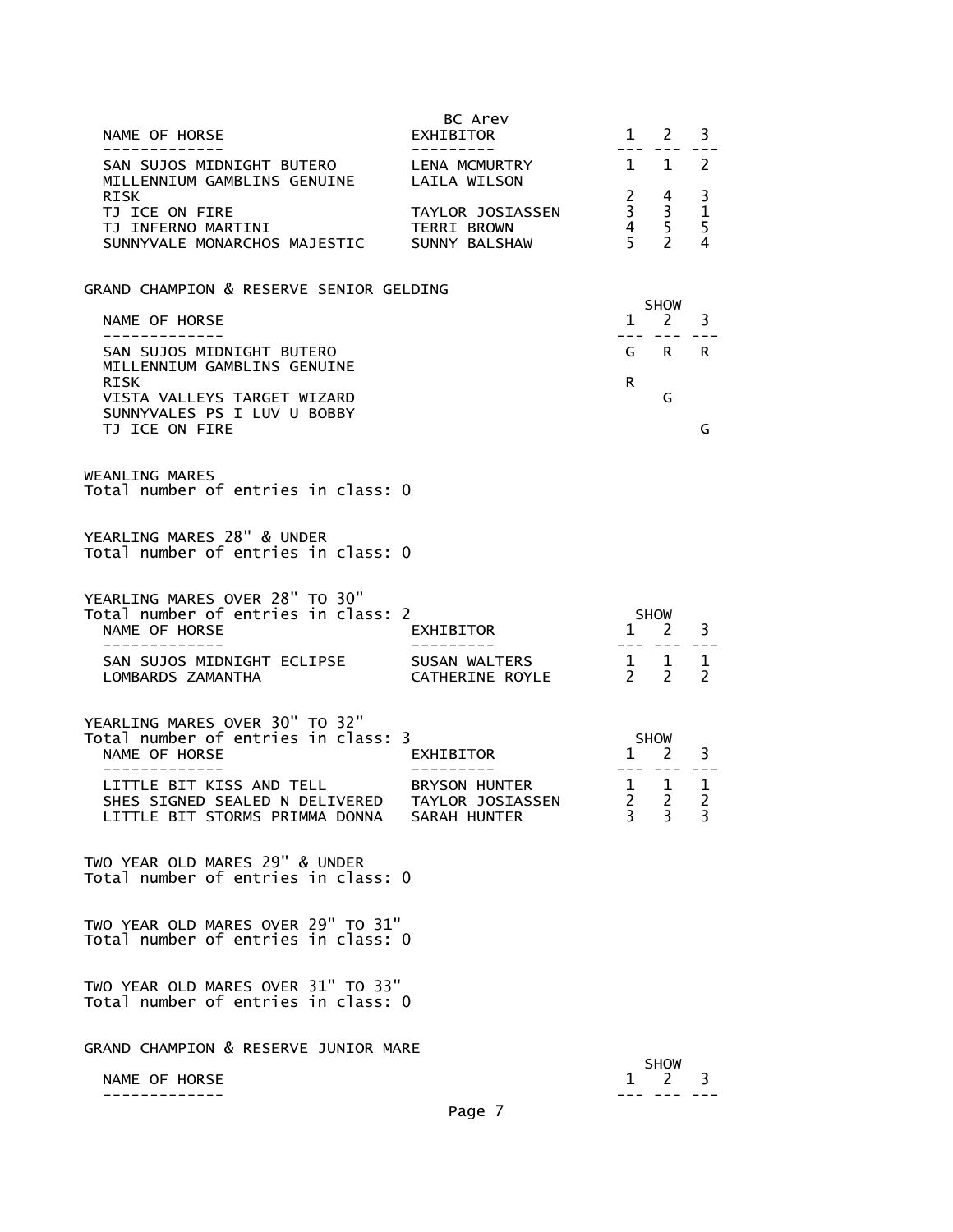| NAME OF HORSE<br>. _ _ _ _ _ _ _ _ _ _ _ _                                                                                 | BC Arev<br>EXHIBITOR                   | $\mathbf{1}$<br>$- - -$ | 2                                                                 | 3                                        |
|----------------------------------------------------------------------------------------------------------------------------|----------------------------------------|-------------------------|-------------------------------------------------------------------|------------------------------------------|
| SAN SUJOS MIDNIGHT BUTERO<br>MILLENNIUM GAMBLINS GENUINE                                                                   | LENA MCMURTRY<br>LAILA WILSON          |                         | $1 \quad 1 \quad 2$                                               |                                          |
| <b>RISK</b><br>TJ ICE ON FIRE<br>TJ INFERNO MARTINI<br>SUNNYVALE MONARCHOS MAJESTIC SUNNY BALSHAW                          | TAYLOR JOSIASSEN<br><b>TERRI BROWN</b> |                         | $\begin{array}{ccc} 2 & 4 \\ 3 & 3 \\ 4 & 5 \\ 5 & 2 \end{array}$ | 3<br>$\mathbf{1}$<br>5<br>$\overline{4}$ |
| GRAND CHAMPION & RESERVE SENIOR GELDING                                                                                    |                                        |                         |                                                                   |                                          |
| NAME OF HORSE<br>-------------                                                                                             |                                        | $\mathbf{1}$            | SHOW<br>$2^{\circ}$                                               | 3                                        |
| SAN SUJOS MIDNIGHT BUTERO<br>MILLENNIUM GAMBLINS GENUINE                                                                   |                                        |                         | GRR                                                               |                                          |
| RISK<br>VISTA VALLEYS TARGET WIZARD<br>SUNNYVALES PS I LUV U BOBBY<br>TJ ICE ON FIRE                                       |                                        | R                       | G                                                                 | G                                        |
| <b>WEANLING MARES</b><br>Total number of entries in class: 0                                                               |                                        |                         |                                                                   |                                          |
| YEARLING MARES 28" & UNDER<br>Total number of entries in class: 0                                                          |                                        |                         |                                                                   |                                          |
| YEARLING MARES OVER 28" TO 30"<br>Total number of entries in class: 2<br>NAME OF HORSE<br>_ _ _ _ _ _ _ _ _ _ _ _ _ _      | EXHIBITOR                              | <b>SHOW</b>             | 1 2<br>$- - - - - - -$                                            | 3                                        |
| SAN SUJOS MIDNIGHT ECLIPSE<br>LOMBARDS ZAMANTHA                                                                            | SUSAN WALTERS<br>CATHERINE ROYLE       |                         | $\begin{array}{cccc}\n1 & 1 & 1 \\ 2 & 2 & 2\n\end{array}$        |                                          |
| YEARLING MARES OVER 30" TO 32"<br>Total number of entries in class: 3<br>NAME OF HORSE<br>----------                       | EXHIBITOR                              |                         | SHOW<br>$1 \quad 2$<br>--- ---                                    | 3                                        |
| LITTLE BIT KISS AND TELL<br>SHES SIGNED SEALED N DELIVERED TAYLOR JOSIASSEN<br>LITTLE BIT STORMS PRIMMA DONNA SARAH HUNTER | BRYSON HUNTER                          | 3 <sup>7</sup>          | $\begin{array}{cc} 1 & 1 \\ 2 & 2 \end{array}$<br>3 3             | $\mathbf{1}$<br>2                        |
| TWO YEAR OLD MARES 29" & UNDER<br>Total number of entries in class: 0                                                      |                                        |                         |                                                                   |                                          |
| TWO YEAR OLD MARES OVER 29" TO 31"<br>Total number of entries in class: 0                                                  |                                        |                         |                                                                   |                                          |
| TWO YEAR OLD MARES OVER 31" TO 33"<br>Total number of entries in class: 0                                                  |                                        |                         |                                                                   |                                          |
| GRAND CHAMPION & RESERVE JUNIOR MARE                                                                                       |                                        |                         | <b>SHOW</b>                                                       |                                          |
| NAME OF HORSE                                                                                                              |                                        |                         | $1 \quad 2$                                                       | 3                                        |
|                                                                                                                            | Page 7                                 |                         |                                                                   |                                          |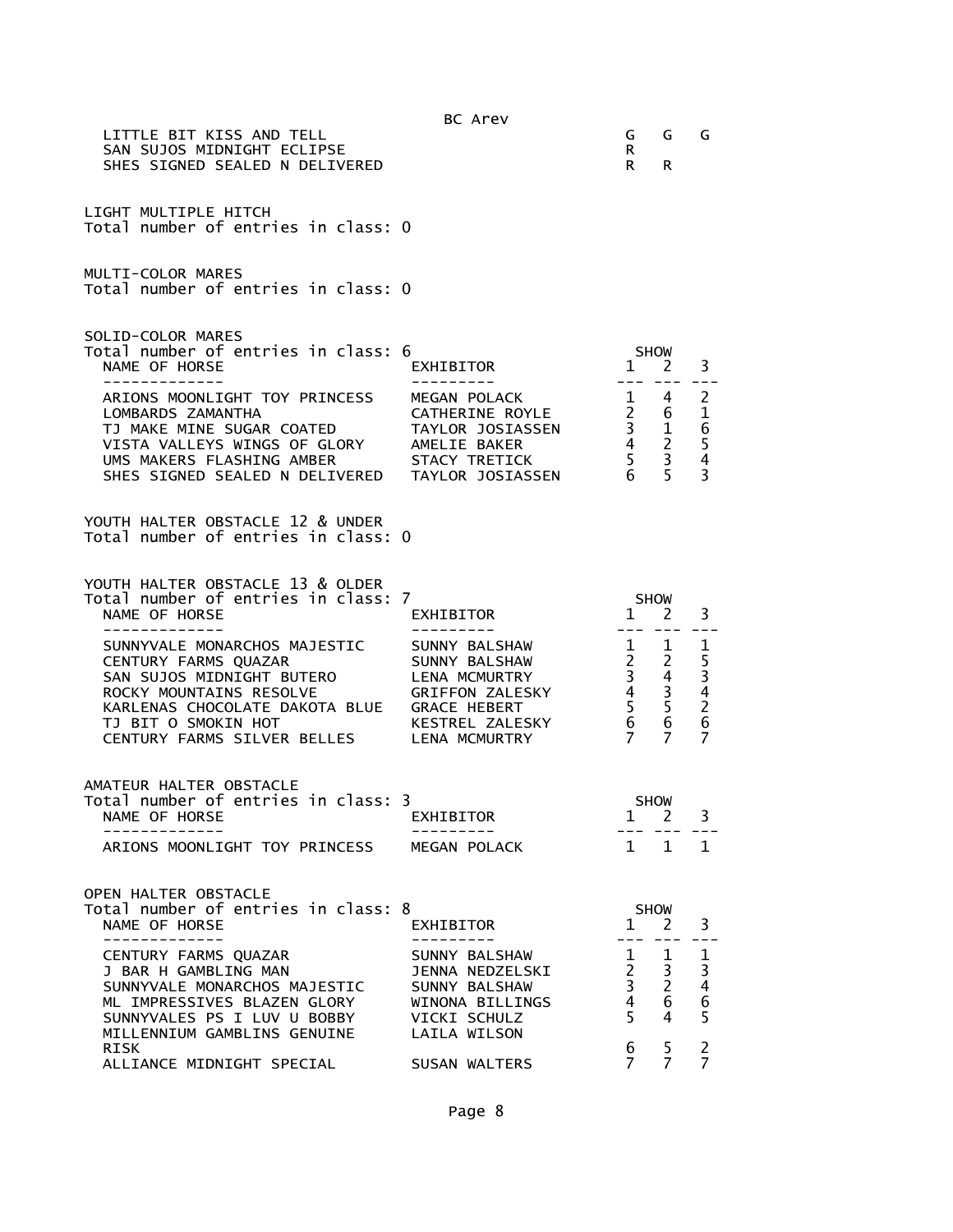| LITTLE BIT KISS AND TELL<br>SAN SUJOS MIDNIGHT ECLIPSE<br>SHES SIGNED SEALED N DELIVERED                                                                                                                                              | BC Arev                                                                                            | G<br>R.<br>R                                                                                                                                  | G<br>R.                                                                | G                                                                                              |
|---------------------------------------------------------------------------------------------------------------------------------------------------------------------------------------------------------------------------------------|----------------------------------------------------------------------------------------------------|-----------------------------------------------------------------------------------------------------------------------------------------------|------------------------------------------------------------------------|------------------------------------------------------------------------------------------------|
| LIGHT MULTIPLE HITCH<br>Total number of entries in class: 0                                                                                                                                                                           |                                                                                                    |                                                                                                                                               |                                                                        |                                                                                                |
| MULTI-COLOR MARES<br>Total number of entries in class: 0                                                                                                                                                                              |                                                                                                    |                                                                                                                                               |                                                                        |                                                                                                |
| SOLID-COLOR MARES<br>Total number of entries in class: 6<br>NAME OF HORSE<br>-------------                                                                                                                                            | EXHIBITOR<br>.                                                                                     | 1 2<br>$   \,$                                                                                                                                | <b>SHOW</b><br>$- - -$                                                 | 3                                                                                              |
| ARIONS MOONLIGHT TOY PRINCESS<br>LOMBARDS ZAMANTHA<br>TJ MAKE MINE SUGAR COATED<br>VISTA VALLEYS WINGS OF GLORY AMELIE BAKER<br>UMS MAKERS FLASHING AMBER STACY TRETICK<br>SHES SIGNED SEALED N DELIVERED TAYLOR JOSIASSEN            | MEGAN POLACK<br>CATHERINE ROYLE<br>TAYLOR JOSIASSEN                                                | $\frac{1}{2}$<br>$\begin{array}{cc} 1 & 6 \\ 2 & 6 \\ 3 & 1 \\ 4 & 2 \\ 5 & 3 \end{array}$<br>$6\overline{6}$                                 | 4<br>6<br>5                                                            | $\overline{2}$<br>$\mathbf{1}$<br>$\begin{array}{c} 6 \\ 5 \\ 4 \end{array}$<br>$\overline{3}$ |
| YOUTH HALTER OBSTACLE 12 & UNDER<br>Total number of entries in class: 0                                                                                                                                                               |                                                                                                    |                                                                                                                                               |                                                                        |                                                                                                |
| YOUTH HALTER OBSTACLE 13 & OLDER<br>Total number of entries in class: 7<br>NAME OF HORSE<br>-------------                                                                                                                             | EXHIBITOR                                                                                          | $\mathbf{1}$                                                                                                                                  | <b>SHOW</b><br>2                                                       | 3                                                                                              |
| SUNNYVALE MONARCHOS MAJESTIC<br>CENTURY FARMS QUAZAR<br>SAN SUJOS MIDNIGHT BUTERO<br>ROCKY MOUNTAINS RESOLVE<br>KARLENAS CHOCOLATE DAKOTA BLUE GRACE HEBERT<br>TJ BIT O SMOKIN HOT<br>THE CALESN'S SILVER BELLES THE MEDINEL ZALESN'S | ---------<br>SUNNY BALSHAW<br>SUNNY BALSHAW<br>LENA MCMURTRY<br>GRIFFON ZALESKY<br>KESTREL ZALESKY | $-- -$<br>1<br>$\begin{array}{ccc} \frac{1}{2} & \frac{1}{2} \\ 3 & 4 \\ 4 & 3 \\ 5 & 5 \end{array}$<br>5 <sub>1</sub><br>6<br>$\overline{7}$ | $\mathbf{1}$<br>$\overline{4}$<br>$\frac{3}{5}$<br>6<br>$\overline{7}$ | $\mathbf 1$<br>5<br>3<br>4<br>2<br>6<br>$\overline{7}$                                         |
| AMATEUR HALTER OBSTACLE<br>Total number of entries in class: 3<br>NAME OF HORSE                                                                                                                                                       | EXHIBITOR                                                                                          | $\mathbf{1}$                                                                                                                                  | <b>SHOW</b><br>$\overline{2}$                                          | 3                                                                                              |
| ARIONS MOONLIGHT TOY PRINCESS                                                                                                                                                                                                         | MEGAN POLACK                                                                                       | $1 \quad 1$                                                                                                                                   |                                                                        | 1                                                                                              |
| OPEN HALTER OBSTACLE<br>Total number of entries in class: 8<br>NAME OF HORSE<br>-----------                                                                                                                                           | EXHIBITOR<br>---------                                                                             | $\mathbf{1}$                                                                                                                                  | <b>SHOW</b><br>2                                                       | 3                                                                                              |
| CENTURY FARMS QUAZAR<br>J BAR H GAMBLING MAN<br>SUNNYVALE MONARCHOS MAJESTIC<br>ML IMPRESSIVES BLAZEN GLORY<br>SUNNYVALES PS I LUV U BOBBY                                                                                            | SUNNY BALSHAW<br>JENNA NEDZELSKI<br>SUNNY BALSHAW<br>WINONA BILLINGS<br>VICKI SCHULZ               | $\mathbf{1}$<br>$\frac{2}{3}$<br>$4\overline{ }$<br>5                                                                                         | 1<br>3<br>$\overline{2}$<br>6<br>4                                     | $\mathbf{1}$<br>$\begin{array}{c} 3 \\ 4 \\ 6 \end{array}$<br>$\overline{5}$                   |
| MILLENNIUM GAMBLINS GENUINE<br><b>RISK</b><br>ALLIANCE MIDNIGHT SPECIAL                                                                                                                                                               | LAILA WILSON<br>SUSAN WALTERS                                                                      | 6<br>7                                                                                                                                        | 5<br>$\overline{7}$                                                    | $\overline{c}$<br>$\overline{7}$                                                               |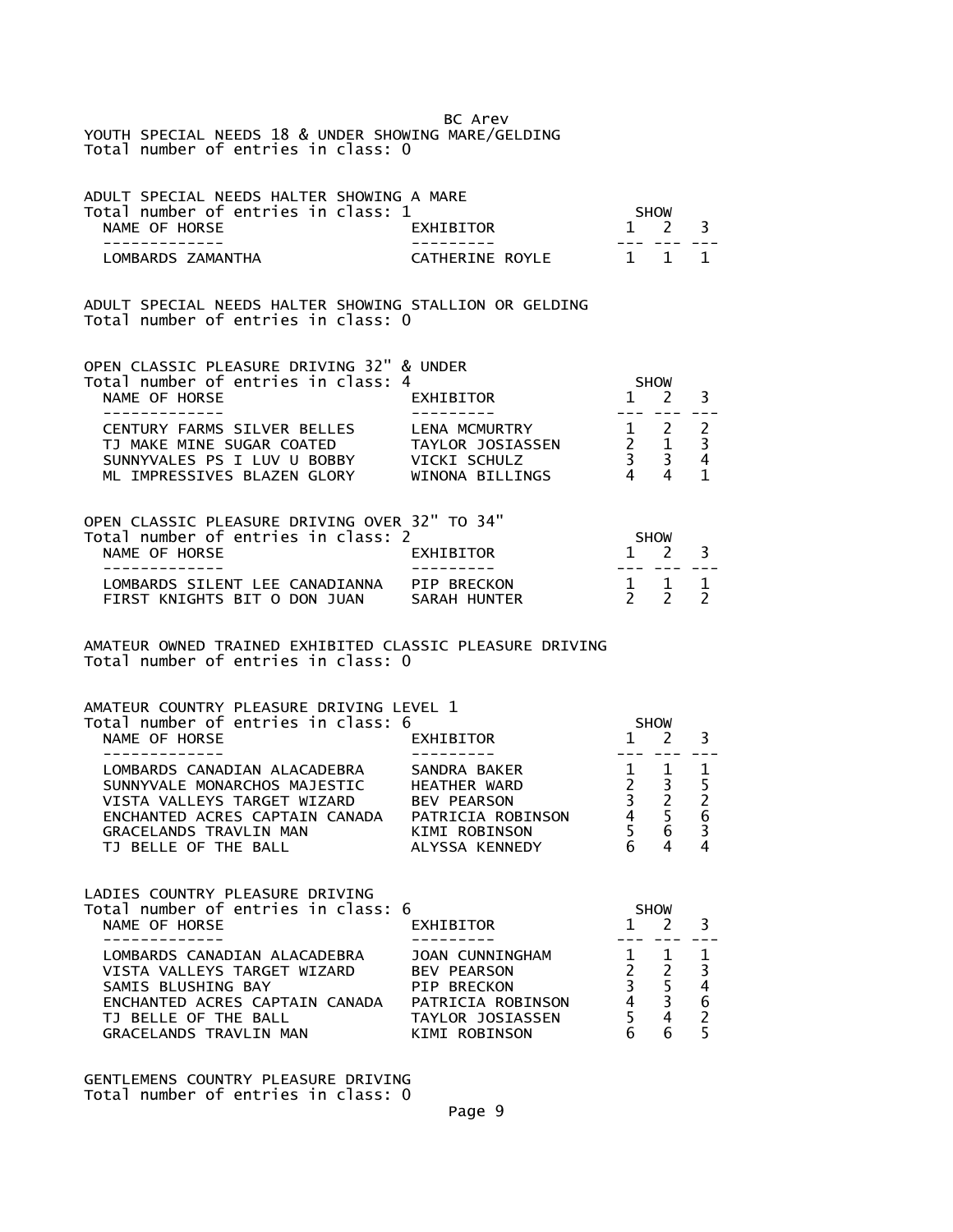BC Arev YOUTH SPECIAL NEEDS 18 & UNDER SHOWING MARE/GELDING Total number of entries in class: 0

| ADULT SPECIAL NEEDS HALTER SHOWING A MARE |                  |                     |  |
|-------------------------------------------|------------------|---------------------|--|
| Total number of entries in class: 1       |                  | SHOW                |  |
| NAME OF HORSE                             | <b>FXHTRTTOR</b> | $1 \quad 2 \quad 3$ |  |
|                                           |                  |                     |  |
| LOMBARDS ZAMANTHA                         | CATHERINE ROYLE  | 1 1 1               |  |

ADULT SPECIAL NEEDS HALTER SHOWING STALLION OR GELDING Total number of entries in class: 0

| EXHIBITOR            |                                                                                  |             |
|----------------------|----------------------------------------------------------------------------------|-------------|
|                      |                                                                                  |             |
| <b>LENA MCMURTRY</b> |                                                                                  |             |
| TAYLOR JOSIASSEN     |                                                                                  |             |
| VICKI SCHULZ         |                                                                                  |             |
| WINONA BILLINGS      |                                                                                  |             |
|                      | OPEN CLASSIC PLEASURE DRIVING 32" & UNDER<br>Total number of entries in class: 4 | <b>SHOW</b> |

| OPEN CLASSIC PLEASURE DRIVING OVER 32" TO 34" |                                     |                                                        |
|-----------------------------------------------|-------------------------------------|--------------------------------------------------------|
|                                               |                                     |                                                        |
| <b>FXHTRTTOR</b>                              |                                     |                                                        |
|                                               |                                     |                                                        |
| PTP BRFCKON                                   |                                     |                                                        |
| SARAH HUNTER                                  |                                     |                                                        |
|                                               | Total number of entries in class: 2 | <b>SHOW</b><br>$1 \quad 2 \quad 3$<br>1 1 1<br>2, 2, 2 |

AMATEUR OWNED TRAINED EXHIBITED CLASSIC PLEASURE DRIVING Total number of entries in class: 0

| AMATEUR COUNTRY PLEASURE DRIVING LEVEL 1 |                    |             |             |   |  |
|------------------------------------------|--------------------|-------------|-------------|---|--|
| Total number of entries in class: 6      |                    | <b>SHOW</b> |             |   |  |
| NAME OF HORSE                            | EXHIBITOR          |             |             |   |  |
|                                          |                    |             |             |   |  |
| LOMBARDS CANADIAN ALACADEBRA             | SANDRA BAKER       |             |             |   |  |
| SUNNYVALE MONARCHOS MAJESTIC             | HEATHER WARD       |             |             |   |  |
| VISTA VALLEYS TARGET WIZARD              | <b>BEV PEARSON</b> |             |             |   |  |
| ENCHANTED ACRES CAPTAIN CANADA           | PATRICIA ROBINSON  |             |             | 6 |  |
| GRACELANDS TRAVLIN MAN                   | KIMI ROBINSON      |             | 6           |   |  |
| TJ BELLE OF THE BALL                     | ALYSSA KENNEDY     |             |             | 4 |  |
|                                          |                    |             |             |   |  |
| LADIES COUNTRY PLEASURE DRIVING          |                    |             |             |   |  |
| Total number of entries in class: 6      |                    |             | <b>SHOW</b> |   |  |

|                                |                    | <u>JI IVII</u> |   |  |
|--------------------------------|--------------------|----------------|---|--|
| NAME OF HORSE                  | EXHIBITOR          |                |   |  |
|                                |                    |                |   |  |
| LOMBARDS CANADIAN ALACADEBRA   | JOAN CUNNINGHAM    |                |   |  |
| VISTA VALLEYS TARGET WIZARD    | <b>BEV PEARSON</b> |                |   |  |
| SAMIS BLUSHING BAY             | PTP BRFCKON        |                |   |  |
| ENCHANTED ACRES CAPTAIN CANADA | PATRICIA ROBINSON  |                | 6 |  |
| TJ BELLE OF THE BALL           | TAYLOR JOSIASSEN   |                |   |  |
| GRACELANDS TRAVLIN MAN         | KIMI ROBINSON      |                |   |  |
|                                |                    |                |   |  |

GENTLEMENS COUNTRY PLEASURE DRIVING Total number of entries in class: 0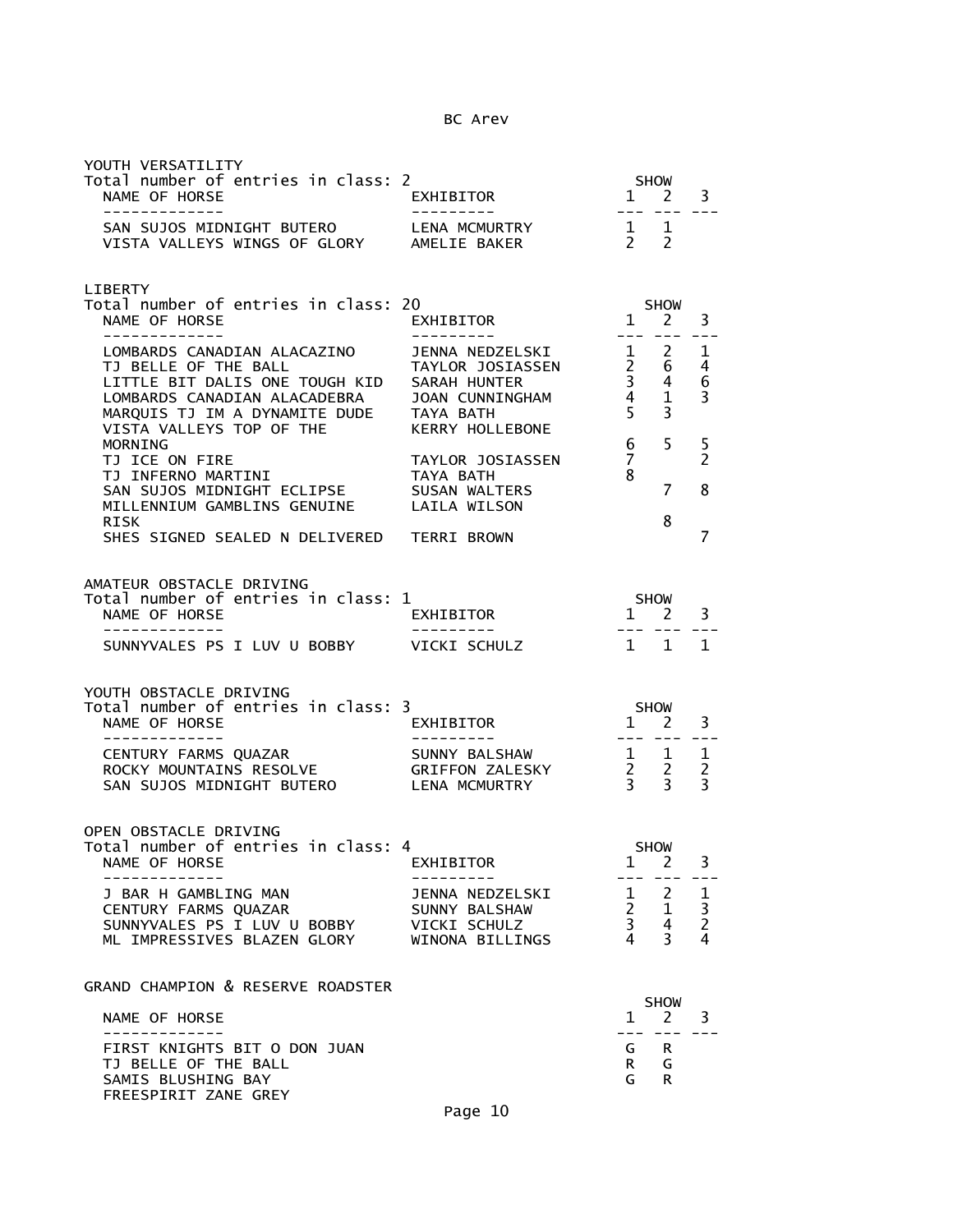| YOUTH VERSATILITY<br>Total number of entries in class: 2<br>NAME OF HORSE<br>-------------                                                                                                                                                     | $1 \overline{2}$<br>EXHIBITOR<br>---------                                                  | --------                                                 | SHOW                                                                      | 3                                                |
|------------------------------------------------------------------------------------------------------------------------------------------------------------------------------------------------------------------------------------------------|---------------------------------------------------------------------------------------------|----------------------------------------------------------|---------------------------------------------------------------------------|--------------------------------------------------|
| SAN SUJOS MIDNIGHT BUTERO LENA MCMURTRY<br>VISTA VALLEYS WINGS OF GLORY AMELIE BAKER                                                                                                                                                           |                                                                                             | $\begin{matrix}1&1\\2&2\end{matrix}$                     |                                                                           |                                                  |
| LIBERTY<br>Total number of entries in class: 20<br>NAME OF HORSE                                                                                                                                                                               | $15$ nuw<br>EXHIBITOR                                                                       |                                                          | <b>SHOW</b>                                                               | 3                                                |
| -------------<br>LITTLE BIT DALIS ONE TOUGH KID SARAH HUNTER<br>LUMBARDS CANADIAN ALACADEBRA JOAN CUNNINGHAM<br>MARQUIS TJ IM A DYNAMITE DUDE TAYA BATH<br>VISTA VALLEVS TOR OF THE DUDE TAYA BATH<br>VISTA VALLEYS TOP OF THE KERRY HOLLEBONE |                                                                                             |                                                          | $\begin{array}{cc} 1 & 2 \\ 2 & 6 \\ 3 & 4 \\ 4 & 1 \\ 5 & 3 \end{array}$ | 1<br>4<br>6<br>3                                 |
| <b>MORNING</b><br>MILLENNIUM GAMBLINS GENUINE LAILA WILSON<br>RISK                                                                                                                                                                             | TAYLOR JOSIASSEN                                                                            | $6\quad$<br>$\overline{7}$<br>8                          | 5<br>7<br>8                                                               | 5<br>$\overline{2}$<br>8                         |
| SHES SIGNED SEALED N DELIVERED TERRI BROWN<br>AMATEUR OBSTACLE DRIVING<br>Total number of entries in class: 1                                                                                                                                  | SHOW                                                                                        |                                                          |                                                                           | 7                                                |
| NAME OF HORSE<br>- - - - - - - - - - - - -                                                                                                                                                                                                     | EXHIBITOR                                                                                   |                                                          | $1 \quad 2$                                                               | 3                                                |
| SUNNYVALES PS I LUV U BOBBY VICKI SCHULZ                                                                                                                                                                                                       |                                                                                             |                                                          | 1 1                                                                       | 1                                                |
| YOUTH OBSTACLE DRIVING<br>Total number of entries in class: 3<br>NAME OF HORSE                                                                                                                                                                 | SHOW<br>1 2<br>EXHIBITOR                                                                    |                                                          | ---- ---                                                                  | 3                                                |
| CENTURY FARMS QUAZAR                 SUNNY BALSHAW<br>ROCKY MOUNTAINS RESOLVE           GRIFFON ZALESKY<br>SAN SUJOS MIDNIGHT BUTERO          LENA MCMURTRY                                                                                    | SUNNY BALSHAW<br>GRIFFON ZALESKY<br>$\begin{array}{cc} 1 & 1 \\ 2 & 2 \\ 3 & 3 \end{array}$ |                                                          |                                                                           | $\mathbf{1}$<br>$\overline{2}$<br>$\overline{3}$ |
| OPEN OBSTACLE DRIVING<br>Total number of entries in class: 4<br>NAME OF HORSE                                                                                                                                                                  | EXHIBITOR                                                                                   | 1                                                        | <b>SHOW</b><br>2                                                          | 3                                                |
| J BAR H GAMBLING MAN<br>CENTURY FARMS QUAZAR<br>SUNNYVALES PS I LUV U BOBBY<br>ML IMPRESSIVES BLAZEN GLORY WINONA BILLINGS                                                                                                                     | JENNA NEDZELSKI<br>SUNNY BALSHAW<br>VICKI SCHULZ                                            | $\begin{array}{ccc} 2 & 1 \\ 3 & 4 \\ 4 & 3 \end{array}$ | $\frac{1}{2}$ $\frac{2}{3}$<br>4                                          | 1<br>$\frac{3}{2}$<br>$\overline{4}$             |
| GRAND CHAMPION & RESERVE ROADSTER                                                                                                                                                                                                              |                                                                                             |                                                          | <b>SHOW</b>                                                               |                                                  |
| NAME OF HORSE                                                                                                                                                                                                                                  |                                                                                             | $\mathbf{1}$                                             | <sup>2</sup>                                                              | 3                                                |
| FIRST KNIGHTS BIT O DON JUAN<br>TJ BELLE OF THE BALL<br>SAMIS BLUSHING BAY<br>FREESPIRIT ZANE GREY                                                                                                                                             |                                                                                             | G<br>R.<br>G                                             | R<br>G<br>R                                                               |                                                  |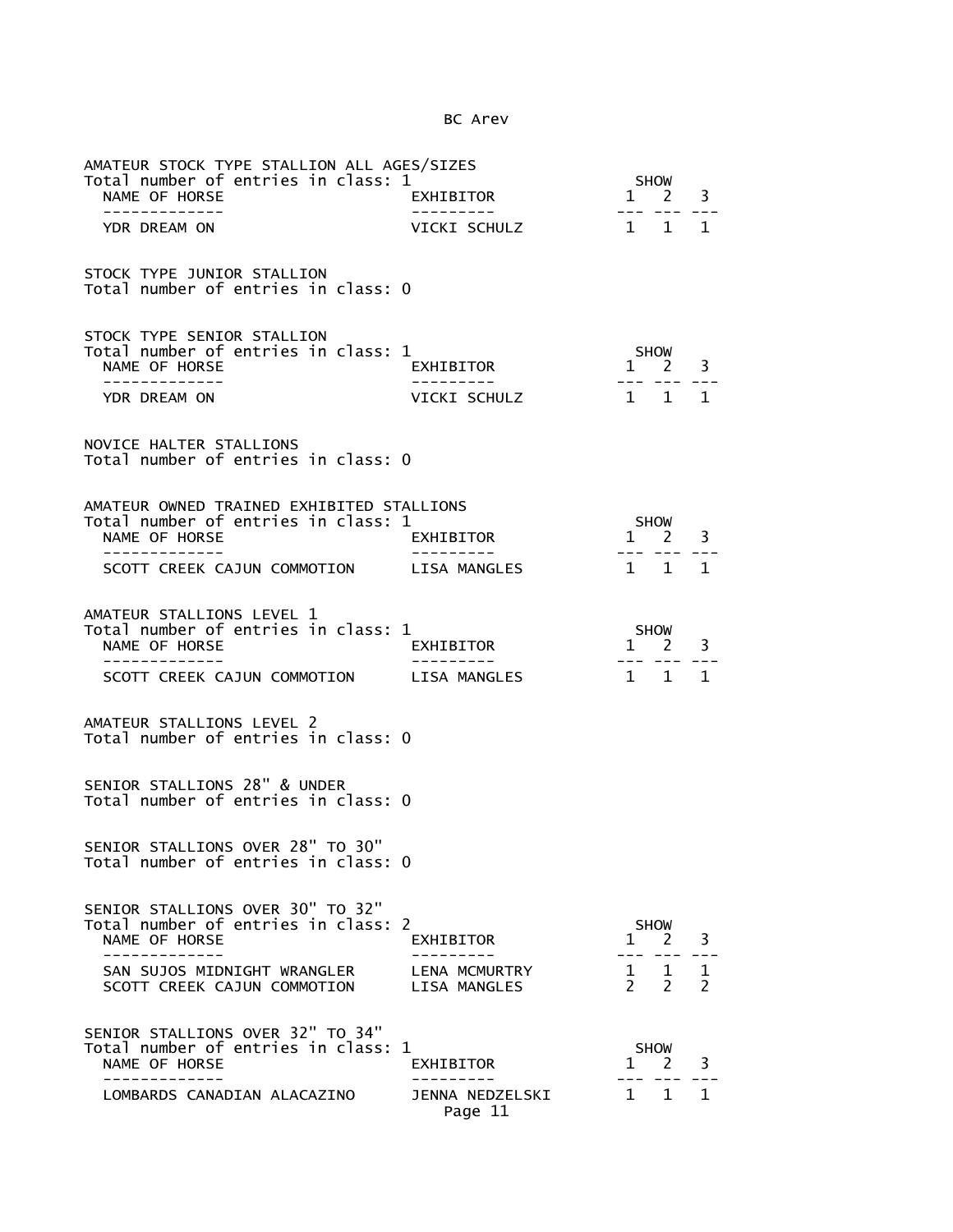| AMATEUR STOCK TYPE STALLION ALL AGES/SIZES<br>Total number of entries in class: 1<br>NAME OF HORSE                   | EXHIBITOR                     | SHOW<br>$\overline{\mathbf{1}}$<br>3<br>$2^{\circ}$                                                                                                                                                                                                                                                                                                                                          |
|----------------------------------------------------------------------------------------------------------------------|-------------------------------|----------------------------------------------------------------------------------------------------------------------------------------------------------------------------------------------------------------------------------------------------------------------------------------------------------------------------------------------------------------------------------------------|
| -------------                                                                                                        |                               | $\frac{1}{2} \frac{1}{2} \frac{1}{2} \frac{1}{2} \frac{1}{2} \frac{1}{2} \frac{1}{2} \frac{1}{2} \frac{1}{2} \frac{1}{2} \frac{1}{2} \frac{1}{2} \frac{1}{2} \frac{1}{2} \frac{1}{2} \frac{1}{2} \frac{1}{2} \frac{1}{2} \frac{1}{2} \frac{1}{2} \frac{1}{2} \frac{1}{2} \frac{1}{2} \frac{1}{2} \frac{1}{2} \frac{1}{2} \frac{1}{2} \frac{1}{2} \frac{1}{2} \frac{1}{2} \frac{1}{2} \frac{$ |
| YDR DREAM ON                                                                                                         | VICKI SCHULZ                  | $1 \quad 1 \quad 1$                                                                                                                                                                                                                                                                                                                                                                          |
| STOCK TYPE JUNIOR STALLION<br>Total number of entries in class: 0                                                    |                               |                                                                                                                                                                                                                                                                                                                                                                                              |
| STOCK TYPE SENIOR STALLION<br>Total number of entries in class: 1<br>NAME OF HORSE<br>--------------<br>YDR DREAM ON | EXHIBITOR<br>VICKI SCHULZ     | <b>SHOW</b><br>$1 \quad 2$<br>3<br>--- ---<br>$1 \quad 1 \quad 1$                                                                                                                                                                                                                                                                                                                            |
| NOVICE HALTER STALLIONS<br>Total number of entries in class: 0                                                       |                               |                                                                                                                                                                                                                                                                                                                                                                                              |
| AMATEUR OWNED TRAINED EXHIBITED STALLIONS                                                                            |                               |                                                                                                                                                                                                                                                                                                                                                                                              |
| Total number of entries in class: 1                                                                                  |                               | SHOW                                                                                                                                                                                                                                                                                                                                                                                         |
| NAME OF HORSE<br>. _ _ _ _ _ _ _ _ _ _ _ _                                                                           | EXHIBITOR                     | $1 \quad 2 \quad 3$<br>--- --- -                                                                                                                                                                                                                                                                                                                                                             |
| SCOTT CREEK CAJUN COMMOTION LISA MANGLES                                                                             |                               | $1 \quad 1$<br>$\mathbf{1}$                                                                                                                                                                                                                                                                                                                                                                  |
| AMATEUR STALLIONS LEVEL 1<br>Total number of entries in class: 1<br>NAME OF HORSE                                    | EXHIBITOR                     | SHOW<br>$1 \quad 2$<br>3                                                                                                                                                                                                                                                                                                                                                                     |
| --------------<br>SCOTT CREEK CAJUN COMMOTION LISA MANGLES                                                           |                               | --- --- ---<br>1 1 1                                                                                                                                                                                                                                                                                                                                                                         |
| AMATEUR STALLIONS LEVEL 2<br>Total number of entries in class: 0                                                     |                               |                                                                                                                                                                                                                                                                                                                                                                                              |
| SENIOR STALLIONS 28" & UNDER<br>Total number of entries in class: 0                                                  |                               |                                                                                                                                                                                                                                                                                                                                                                                              |
| SENIOR STALLIONS OVER 28" TO 30"<br>Total number of entries in class: 0                                              |                               |                                                                                                                                                                                                                                                                                                                                                                                              |
| SENIOR STALLIONS OVER 30" TO 32"<br>Total number of entries in class: 2<br>NAME OF HORSE<br>----------               | EXHIBITOR                     | SHOW<br>3<br>$1 \quad 2$                                                                                                                                                                                                                                                                                                                                                                     |
| SAN SUJOS MIDNIGHT WRANGLER<br>SCOTT CREEK CAJUN COMMOTION                                                           | LENA MCMURTRY<br>LISA MANGLES | $1 \quad 1$<br>1<br>$2 \quad 2$<br>$\overline{2}$                                                                                                                                                                                                                                                                                                                                            |
| SENIOR STALLIONS OVER 32" TO 34"<br>Total number of entries in class: 1<br>NAME OF HORSE                             | EXHIBITOR                     | <b>SHOW</b><br><sup>2</sup><br>3<br>$\mathbf{1}$                                                                                                                                                                                                                                                                                                                                             |
| LOMBARDS CANADIAN ALACAZINO                                                                                          | JENNA NEDZELSKI<br>Page 11    | $\mathbf{1}$<br>1 1                                                                                                                                                                                                                                                                                                                                                                          |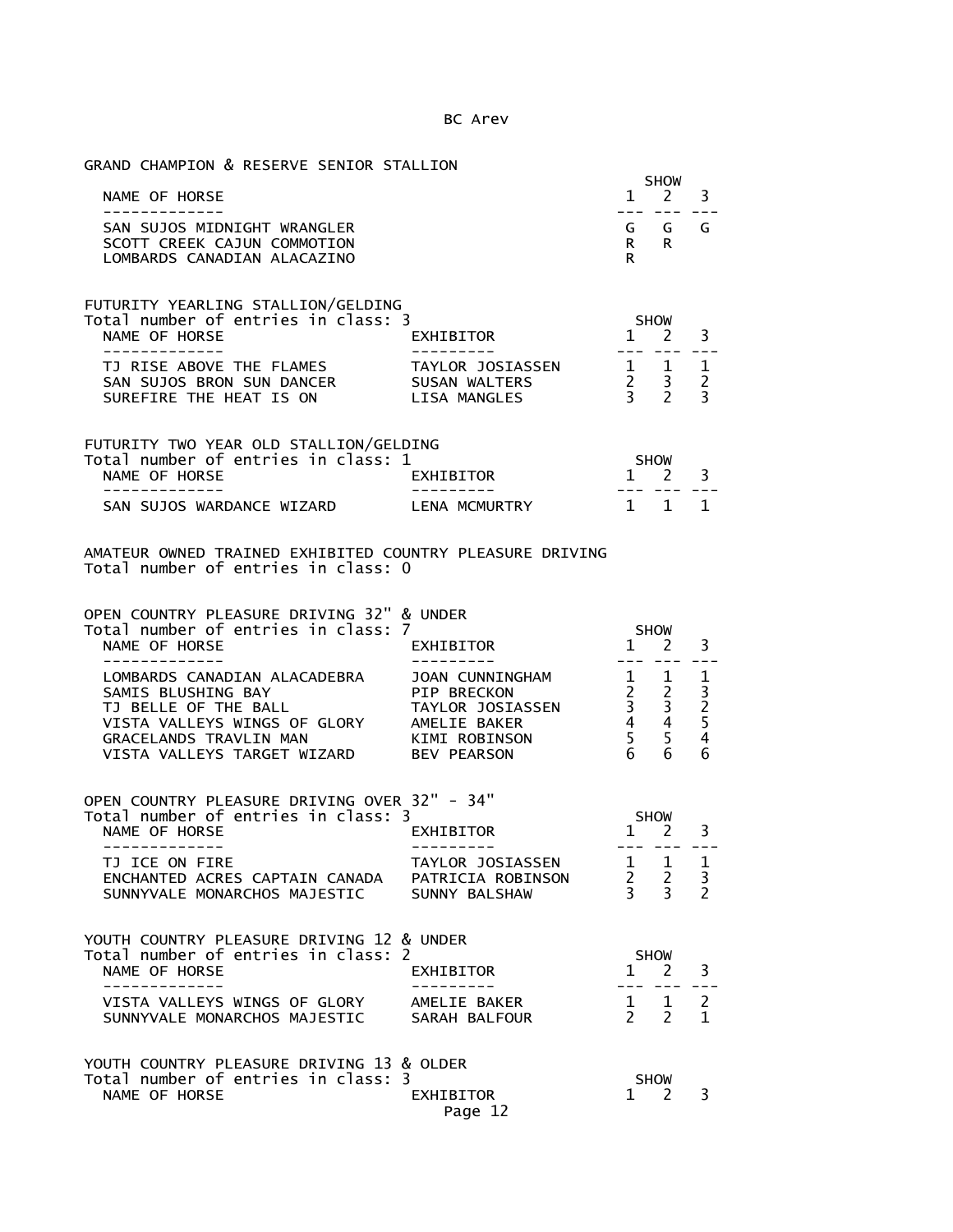GRAND CHAMPION & RESERVE SENIOR STALLION

|                             |    | <b>SHOW</b>         |  |
|-----------------------------|----|---------------------|--|
| NAME OF HORSE               |    | $1 \quad 2 \quad 3$ |  |
|                             |    |                     |  |
| SAN SUJOS MIDNIGHT WRANGLER |    | GGGG                |  |
| SCOTT CREEK CAJUN COMMOTION | R. | R                   |  |
| LOMBARDS CANADTAN ALACAZINO | R  |                     |  |

| FUTURITY YEARLING STALLION/GELDING<br>Total number of entries in class: 3 |                      | <b>SHOW</b>         |  |
|---------------------------------------------------------------------------|----------------------|---------------------|--|
| NAME OF HORSE                                                             | EXHIBITOR            | $1 \quad 2 \quad 3$ |  |
|                                                                           |                      |                     |  |
| TJ RISE ABOVE THE FLAMES                                                  | TAYLOR JOSIASSEN     |                     |  |
| SAN SUJOS BRON SUN DANCER                                                 | SUSAN WALTERS        | 2 <sup>2</sup>      |  |
| SURFFTRE THE HEAT IS ON                                                   | <b>I TSA MANGLES</b> |                     |  |

| FUTURITY TWO YEAR OLD STALLION/GELDING |                  |                     |  |
|----------------------------------------|------------------|---------------------|--|
| Total number of entries in class: 1    |                  | <b>SHOW</b>         |  |
| NAME OF HORSE                          | <b>FXHTRTTOR</b> | $1 \quad 2 \quad 3$ |  |
|                                        |                  |                     |  |
| SAN SUJOS WARDANCE WIZARD              | I FNA MCMURTRY   | 1 1 1               |  |

## AMATEUR OWNED TRAINED EXHIBITED COUNTRY PLEASURE DRIVING Total number of entries in class: 0

OPEN COUNTRY PLEASURE DRIVING 32" & UNDER

| Total number of entries in class: 7 |                        | <b>SHOW</b> |  |
|-------------------------------------|------------------------|-------------|--|
| NAME OF HORSE                       | EXHIBITOR              |             |  |
|                                     |                        |             |  |
| LOMBARDS CANADIAN ALACADEBRA        | <b>JOAN CUNNINGHAM</b> |             |  |
| SAMIS BLUSHING BAY                  | PTP BRFCKON            |             |  |
| TJ BELLE OF THE BALL                | TAYLOR JOSIASSEN       |             |  |
| VISTA VALLEYS WINGS OF GLORY        | AMELIE BAKER           |             |  |
| <b>GRACELANDS TRAVLIN MAN</b>       | KIMI ROBINSON          |             |  |
| VISTA VALLEYS TARGET WIZARD         | <b>BEV PEARSON</b>     |             |  |

| OPEN COUNTRY PLEASURE DRIVING OVER 32" - 34" |                   |                     |  |
|----------------------------------------------|-------------------|---------------------|--|
| Total number of entries in class: 3          |                   | <b>SHOW</b>         |  |
| NAME OF HORSE                                | EXHIBITOR         | $1 \quad 2 \quad 3$ |  |
|                                              |                   |                     |  |
| TJ ICE ON FIRE                               | TAYLOR JOSIASSEN  | 1 1                 |  |
| ENCHANTED ACRES CAPTAIN CANADA               | PATRICIA ROBINSON |                     |  |
| SUNNYVALE MONARCHOS MAJESTIC                 | SUNNY BALSHAW     |                     |  |

| YOUTH COUNTRY PLEASURE DRIVING 12 & UNDER |                  |             |  |
|-------------------------------------------|------------------|-------------|--|
| Total number of entries in class: 2       |                  | <b>SHOW</b> |  |
| NAME OF HORSE                             | <b>FXHTRTTOR</b> |             |  |
|                                           |                  |             |  |
| VISTA VALLEYS WINGS OF GLORY              | AMFITE BAKER     |             |  |
| SUNNYVALE MONARCHOS MAJESTIC              | SARAH BAI FOUR   |             |  |
|                                           |                  |             |  |
|                                           |                  |             |  |

| YOUTH COUNTRY PLEASURE DRIVING 13 & OLDER |           |             |  |
|-------------------------------------------|-----------|-------------|--|
| Total number of entries in class: 3       |           | <b>SHOW</b> |  |
| NAME OF HORSE                             | EXHIBITOR | $1 \t2 \t3$ |  |
|                                           | Page 12   |             |  |
|                                           |           |             |  |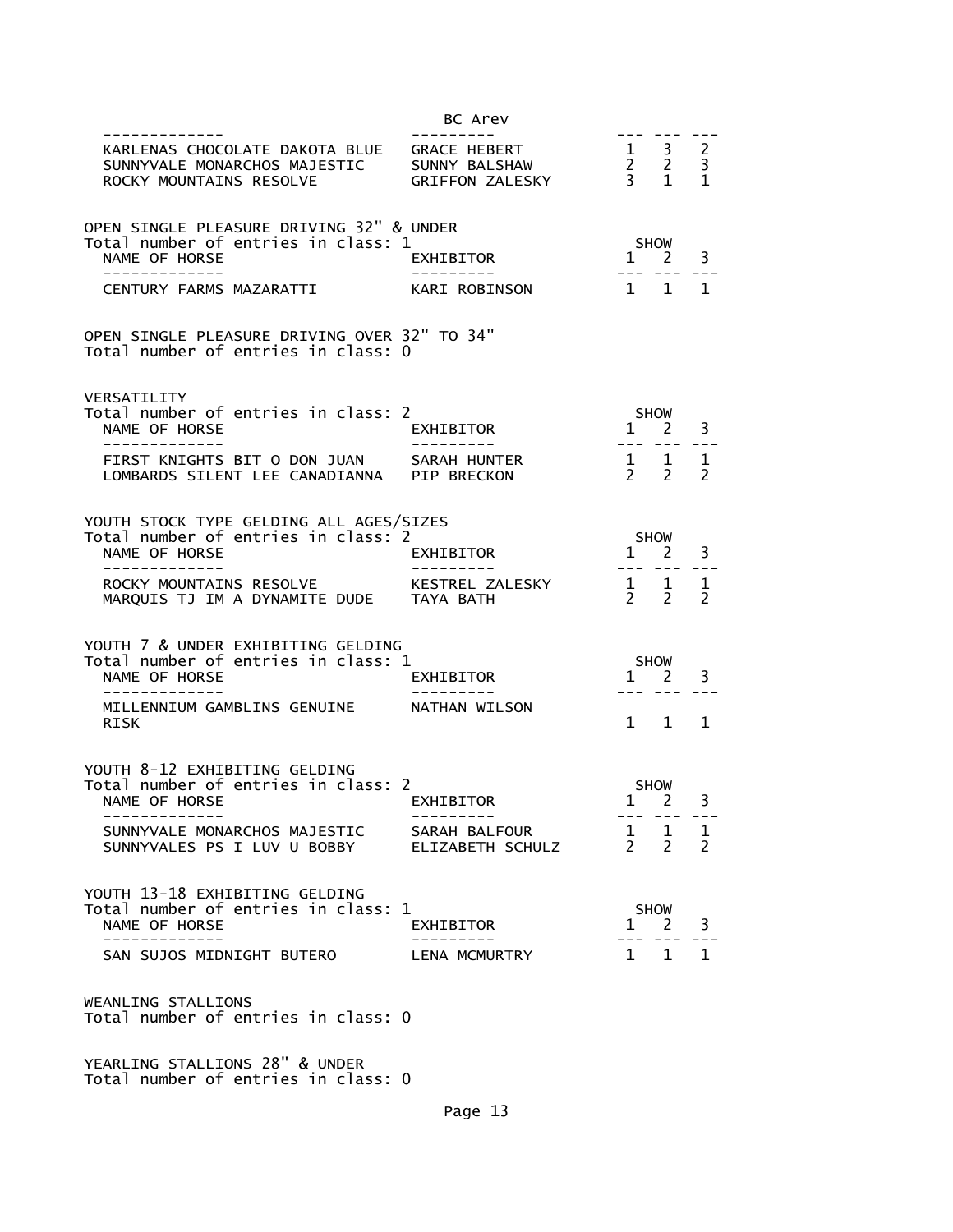|                                                                                                                      | BC Arev                     |                                                          |                                |                               |
|----------------------------------------------------------------------------------------------------------------------|-----------------------------|----------------------------------------------------------|--------------------------------|-------------------------------|
| KARLENAS CHOCOLATE DAKOTA BLUE GRACE HEBERT<br>SUNNYVALE MONARCHOS MAJESTIC SUNNY BALSHAW<br>ROCKY MOUNTAINS RESOLVE | .<br><b>GRIFFON ZALESKY</b> | $\begin{array}{ccc} 1 & 3 \\ 2 & 2 \\ 3 & 1 \end{array}$ |                                | $\overline{2}$<br>3<br>1      |
| OPEN SINGLE PLEASURE DRIVING 32" & UNDER<br>Total number of entries in class: 1                                      |                             |                                                          | SHOW                           |                               |
| NAME OF HORSE                                                                                                        | EXHIBITOR                   |                                                          | $1 \quad 2$                    | 3                             |
| CENTURY FARMS MAZARATTI                                                                                              | KARI ROBINSON               |                                                          | 1 1                            | $\mathbf{1}$                  |
| OPEN SINGLE PLEASURE DRIVING OVER 32" TO 34"<br>Total number of entries in class: 0                                  |                             |                                                          |                                |                               |
| VERSATILITY<br>Total number of entries in class: 2<br>NAME OF HORSE                                                  | EXHIBITOR                   | $- - - -$                                                | <b>SHOW</b><br>$1 \quad 2$     | 3                             |
| FIRST KNIGHTS BIT O DON JUAN SARAH HUNTER<br>LOMBARDS SILENT LEE CANADIANNA PIP BRECKON                              |                             | $\frac{1}{2}$ 1<br>$\overline{2}$                        | <sup>2</sup>                   | 1<br>$\overline{\phantom{a}}$ |
| YOUTH STOCK TYPE GELDING ALL AGES/SIZES<br>Total number of entries in class: 2<br>NAME OF HORSE<br>-----------       | <b>EXHIBITOR</b>            |                                                          | SHOW<br>$1 \quad 2$<br>--- --- | 3                             |
| ROCKY MOUNTAINS RESOLVE KESTREL ZALESKY<br>MARQUIS TJ IM A DYNAMITE DUDE TAYA BATH                                   |                             | $\frac{1}{2}$ $\frac{1}{2}$                              | $2 \overline{2}$               | 1<br>$\mathcal{P}$            |
| YOUTH 7 & UNDER EXHIBITING GELDING<br>Total number of entries in class: 1<br>NAME OF HORSE<br>--------------         | EXHIBITOR<br>----------     | $1 \quad$                                                | SHOW<br>2<br>--- --- -         | 3                             |
| MILLENNIUM GAMBLINS GENUINE     NATHAN WILSON<br><b>RISK</b>                                                         |                             |                                                          | $1 \quad 1$                    | 1                             |
| YOUTH 8-12 EXHIBITING GELDING<br>Total number of entries in class: 2<br>NAME OF HORSE<br>-------------               | EXHIBITOR<br>---------      |                                                          | <b>SHOW</b><br>$1 \quad 2$     | 3                             |
| SUNNYVALE MONARCHOS MAJESTIC SARAH BALFOUR<br>SUNNYVALES PS I LUV U BOBBY ELIZABETH SCHULZ                           |                             | $\begin{array}{cccc} 1 & 1 & 1 \\ 2 & 2 & 2 \end{array}$ |                                |                               |
| YOUTH 13-18 EXHIBITING GELDING<br>Total number of entries in class: 1<br>NAME OF HORSE<br>-------------              | EXHIBITOR                   |                                                          | SHOW<br>$1 \quad 2 \quad 3$    |                               |
| SAN SUJOS MIDNIGHT BUTERO LENA MCMURTRY                                                                              |                             | $1 \quad 1 \quad 1$                                      |                                |                               |
| WEANLING STALLIONS<br>Total number of entries in class: 0                                                            |                             |                                                          |                                |                               |
| YEARLING STALLIONS 28" & UNDER                                                                                       |                             |                                                          |                                |                               |

Total number of entries in class: 0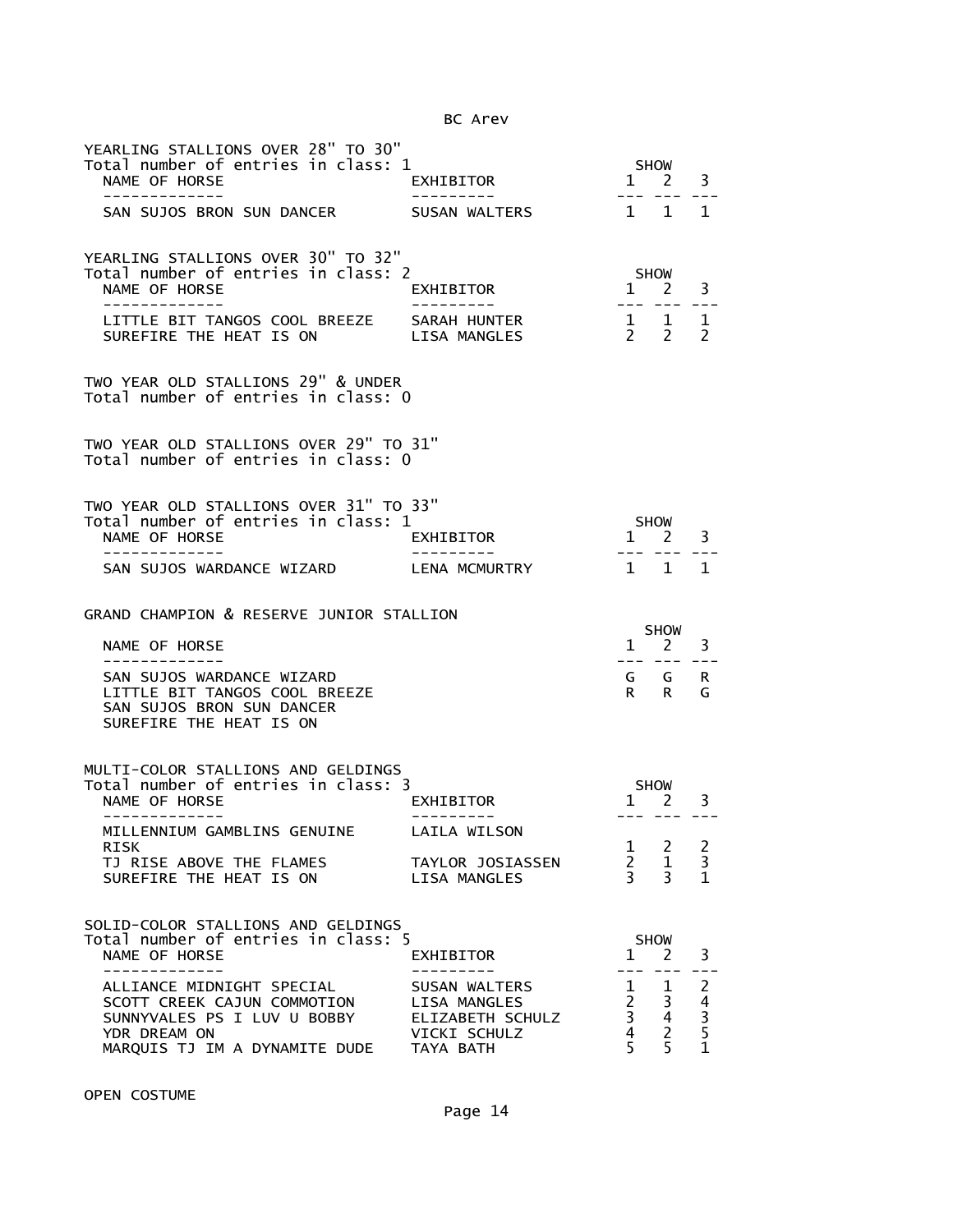| YEARLING STALLIONS OVER 28" TO 30"<br>Total number of entries in class: 1<br>NAME OF HORSE                                                         | EXHIBITOR                                                         | $\mathbf{1}$                                                     | <b>SHOW</b><br>2                                                                  | 3                                                                 |
|----------------------------------------------------------------------------------------------------------------------------------------------------|-------------------------------------------------------------------|------------------------------------------------------------------|-----------------------------------------------------------------------------------|-------------------------------------------------------------------|
| SAN SUJOS BRON SUN DANCER                                                                                                                          | SUSAN WALTERS                                                     |                                                                  | 1 1                                                                               | 1                                                                 |
| YEARLING STALLIONS OVER 30" TO 32"<br>Total number of entries in class: 2<br>NAME OF HORSE<br>------------                                         | EXHIBITOR                                                         | $1 \quad 2$<br>$- - -$                                           | <b>SHOW</b>                                                                       | 3                                                                 |
| LITTLE BIT TANGOS COOL BREEZE SARAH HUNTER<br>SUREFIRE THE HEAT IS ON                                                                              | LISA MANGLES                                                      | $2 \quad 2$                                                      | $1 \quad 1$                                                                       | $\mathbf 1$<br>$\mathcal{P}$                                      |
| TWO YEAR OLD STALLIONS 29" & UNDER<br>Total number of entries in class: 0                                                                          |                                                                   |                                                                  |                                                                                   |                                                                   |
| TWO YEAR OLD STALLIONS OVER 29" TO 31"<br>Total number of entries in class: 0                                                                      |                                                                   |                                                                  |                                                                                   |                                                                   |
| TWO YEAR OLD STALLIONS OVER 31" TO 33"                                                                                                             |                                                                   |                                                                  |                                                                                   |                                                                   |
| Total number of entries in class: 1<br>NAME OF HORSE<br>-------------                                                                              | EXHIBITOR                                                         | --- ---                                                          | SHOW<br>1 2                                                                       | 3                                                                 |
| SAN SUJOS WARDANCE WIZARD                                                                                                                          | LENA MCMURTRY                                                     |                                                                  | 1 1                                                                               | $\mathbf{1}$                                                      |
|                                                                                                                                                    |                                                                   |                                                                  |                                                                                   |                                                                   |
| GRAND CHAMPION & RESERVE JUNIOR STALLION                                                                                                           |                                                                   |                                                                  |                                                                                   |                                                                   |
| NAME OF HORSE<br>-------------                                                                                                                     |                                                                   | $\mathbf{1}$                                                     | <b>SHOW</b><br><sup>2</sup>                                                       | 3                                                                 |
| SAN SUJOS WARDANCE WIZARD<br>LITTLE BIT TANGOS COOL BREEZE<br>SAN SUJOS BRON SUN DANCER<br>SUREFIRE THE HEAT IS ON                                 |                                                                   |                                                                  | ___ ___ __.<br>G G<br>$R$ R                                                       | R.<br>G                                                           |
| MULTI-COLOR STALLIONS AND GELDINGS                                                                                                                 |                                                                   |                                                                  |                                                                                   |                                                                   |
| Total number of entries in class: 3<br>NAME OF HORSE                                                                                               | EXHIBITOR                                                         |                                                                  | <b>SHOW</b><br>$1 \quad 2$                                                        | 3                                                                 |
| MILLENNIUM GAMBLINS GENUINE<br>RISK                                                                                                                | LAILA WILSON                                                      | $\mathbf{1}$                                                     | 2                                                                                 | $\overline{c}$                                                    |
| TJ RISE ABOVE THE FLAMES<br>SUREFIRE THE HEAT IS ON                                                                                                | TAYLOR JOSIASSEN<br>LISA MANGLES                                  | $2^{\circ}$<br>$\overline{3}$                                    | $\mathbf 1$<br>$\overline{3}$                                                     | 3<br>$\mathbf{1}$                                                 |
| SOLID-COLOR STALLIONS AND GELDINGS                                                                                                                 |                                                                   |                                                                  |                                                                                   |                                                                   |
| Total number of entries in class: 5<br>NAME OF HORSE                                                                                               | EXHIBITOR                                                         | $\mathbf 1$                                                      | <b>SHOW</b><br>2                                                                  | 3                                                                 |
| ALLIANCE MIDNIGHT SPECIAL<br>SCOTT CREEK CAJUN COMMOTION<br>SUNNYVALES PS I LUV U BOBBY<br>YDR DREAM ON<br>MARQUIS TJ IM A DYNAMITE DUDE TAYA BATH | SUSAN WALTERS<br>LISA MANGLES<br>ELIZABETH SCHULZ<br>VICKI SCHULZ | $\mathbf{1}$<br>$2^{\circ}$<br>$4\overline{ }$<br>$\overline{5}$ | $\mathbf{1}$<br>$\overline{\mathbf{3}}$<br>$\frac{2}{3}$ 4<br>$\overline{2}$<br>5 | $\overline{c}$<br>$\begin{array}{c} 4 \\ 3 \\ 5 \\ 1 \end{array}$ |

OPEN COSTUME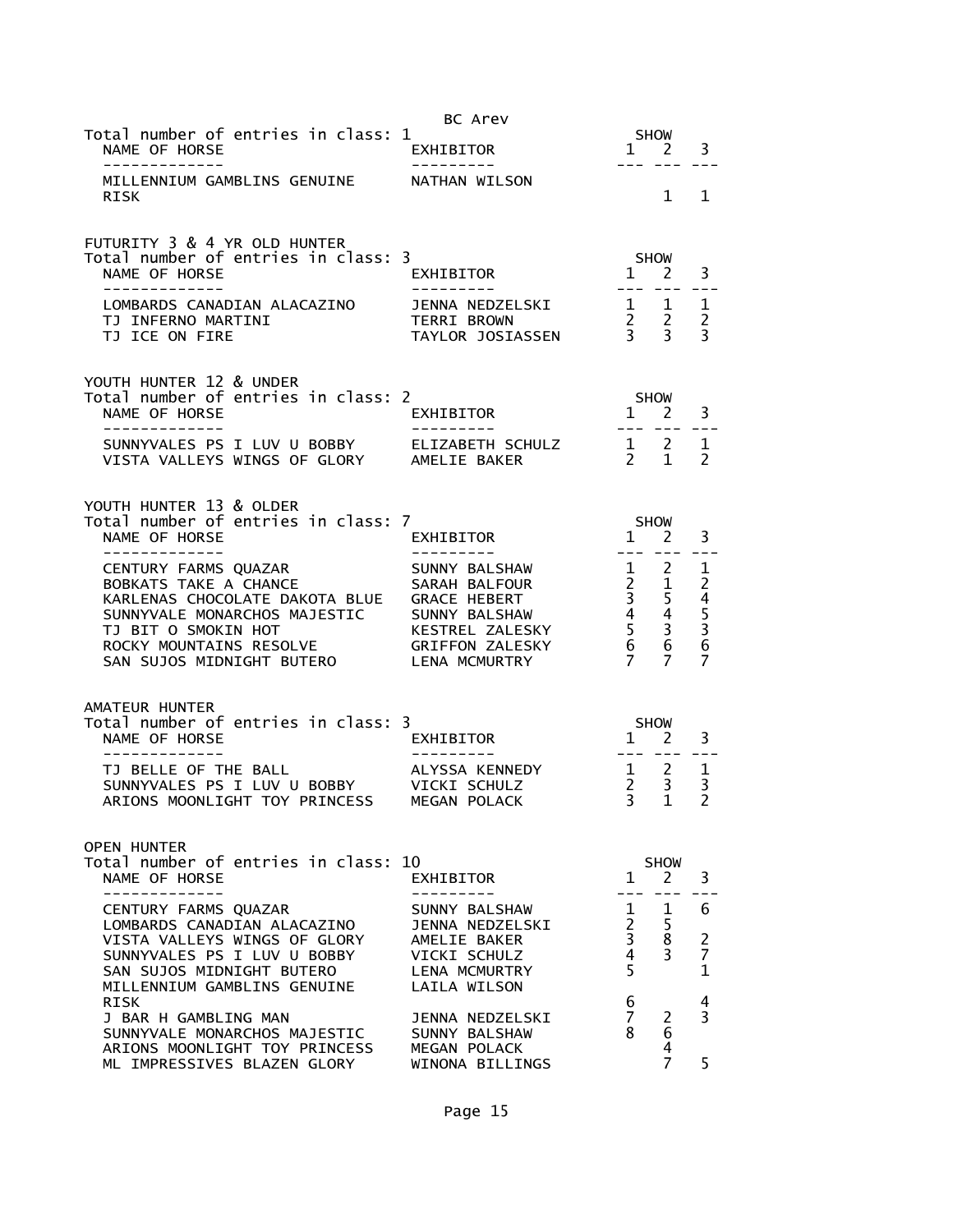|                                                                                                                                                                                                                               | BC Arev                                                                                                                              |                                                                                                        |                                                      |                                          |
|-------------------------------------------------------------------------------------------------------------------------------------------------------------------------------------------------------------------------------|--------------------------------------------------------------------------------------------------------------------------------------|--------------------------------------------------------------------------------------------------------|------------------------------------------------------|------------------------------------------|
| Total number of entries in class: 1<br>NAME OF HORSE<br>-------------                                                                                                                                                         | EXHIBITOR                                                                                                                            | $- - -$                                                                                                | <b>SHOW</b><br>$1 \quad 2$                           | 3                                        |
| MILLENNIUM GAMBLINS GENUINE NATHAN WILSON<br>RISK                                                                                                                                                                             |                                                                                                                                      |                                                                                                        | $1 \quad$                                            | 1                                        |
| FUTURITY 3 & 4 YR OLD HUNTER<br>Total number of entries in class: 3<br>NAME OF HORSE<br>-------------                                                                                                                         | EXHIBITOR                                                                                                                            | SHOW<br>$1 \quad 2$                                                                                    |                                                      | 3                                        |
| LOMBARDS CANADIAN ALACAZINO<br>TJ INFERNO MARTINI<br>TJ ICE ON FIRE                                                                                                                                                           | JENNA NEDZELSKI<br>TERRI BROWN<br>TAYLOR JOSIASSEN                                                                                   | $\begin{array}{ccccc}\n1 & 1 & 1 \\ 2 & 2 & 2 \\ 3 & 3 & 3\n\end{array}$                               |                                                      |                                          |
| YOUTH HUNTER 12 & UNDER<br>Total number of entries in class: 2<br>NAME OF HORSE<br>-------------                                                                                                                              | EXHIBITOR                                                                                                                            | SHOW<br>$1 \quad 2$                                                                                    |                                                      | 3<br>$- - -$                             |
| SUNNYVALES PS I LUV U BOBBY ELIZABETH SCHULZ<br>VISTA VALLEYS WINGS OF GLORY AMELIE BAKER                                                                                                                                     |                                                                                                                                      | $\begin{matrix} 1 & 2 \\ 2 & 1 \end{matrix}$                                                           |                                                      | 1<br>$\mathcal{P}$                       |
| YOUTH HUNTER 13 & OLDER<br>Total number of entries in class: 7<br>NAME OF HORSE                                                                                                                                               | EXHIBITOR                                                                                                                            | SHOW<br>$1 \quad 2$                                                                                    |                                                      | 3                                        |
| --------------<br>CENTURY FARMS QUAZAR<br>BOBKATS TAKE A CHANCE<br>KARLENAS CHOCOLATE DAKOTA BLUE GRACE HEBERT<br>SUNNYVALE MONARCHOS MAJESTIC<br>TJ BIT O SMOKIN HOT<br>ROCKY MOUNTAINS RESOLVE<br>SAN SUJOS MIDNIGHT BUTERO | - - - - - - - - - -<br>SUNNY BALSHAW<br>SARAH BALFOUR<br>SUNNY BALSHAW<br>KESTREL ZALESKY<br><b>GRIFFON ZALESKY</b><br>LENA MCMURTRY | $---$<br>$\frac{2}{3}$ $\frac{1}{5}$<br>$\frac{4}{5}$ $\frac{3}{6}$<br>$\frac{6}{7}$<br>$\overline{7}$ | $1 \quad 2$<br>3 <sup>7</sup><br>6<br>$\overline{7}$ | 1<br>24536<br>7                          |
| AMATEUR HUNTER<br>Total number of entries in class: 3<br>NAME OF HORSE                                                                                                                                                        | EXHIBITOR                                                                                                                            |                                                                                                        | <b>SHOW</b><br>1 2                                   | 3                                        |
| --------------<br>TJ BELLE OF THE BALL<br>SUNNYVALES PS I LUV U BOBBY VICKI SCHULZ<br>ARIONS MOONLIGHT TOY PRINCESS MEGAN POLACK                                                                                              | ALYSSA KENNEDY                                                                                                                       | $1 \quad 2$<br>$\begin{array}{cc} 2 & 3 \\ 3 & 1 \end{array}$                                          |                                                      | 1<br>$\overline{3}$<br>$\overline{2}$    |
| <b>OPEN HUNTER</b><br>Total number of entries in class: 10<br>NAME OF HORSE<br>------------                                                                                                                                   | EXHIBITOR                                                                                                                            |                                                                                                        | <b>SHOW</b><br>$1 \quad 2$                           | 3                                        |
| CENTURY FARMS QUAZAR<br>LOMBARDS CANADIAN ALACAZINO<br>VISTA VALLEYS WINGS OF GLORY<br>SUNNYVALES PS I LUV U BOBBY<br>SAN SUJOS MIDNIGHT BUTERO<br>MILLENNIUM GAMBLINS GENUINE                                                | SUNNY BALSHAW<br>JENNA NEDZELSKI<br>AMELIE BAKER<br>VICKI SCHULZ<br>LENA MCMURTRY<br>LAILA WILSON                                    | $\mathbf{1}$<br>$\overline{2}$<br>$\overline{3}$<br>$\overline{4}$<br>5                                | 1<br>5<br>8<br>$\overline{3}$                        | 6<br>$\overline{c}$<br>7<br>$\mathbf{1}$ |
| RISK<br>J BAR H GAMBLING MAN<br>SUNNYVALE MONARCHOS MAJESTIC<br>ARIONS MOONLIGHT TOY PRINCESS<br>ML IMPRESSIVES BLAZEN GLORY                                                                                                  | JENNA NEDZELSKI<br>SUNNY BALSHAW<br>MEGAN POLACK<br>WINONA BILLINGS                                                                  | 6<br>$\overline{7}$<br>8                                                                               | 2<br>6<br>4                                          | 4<br>3<br>5                              |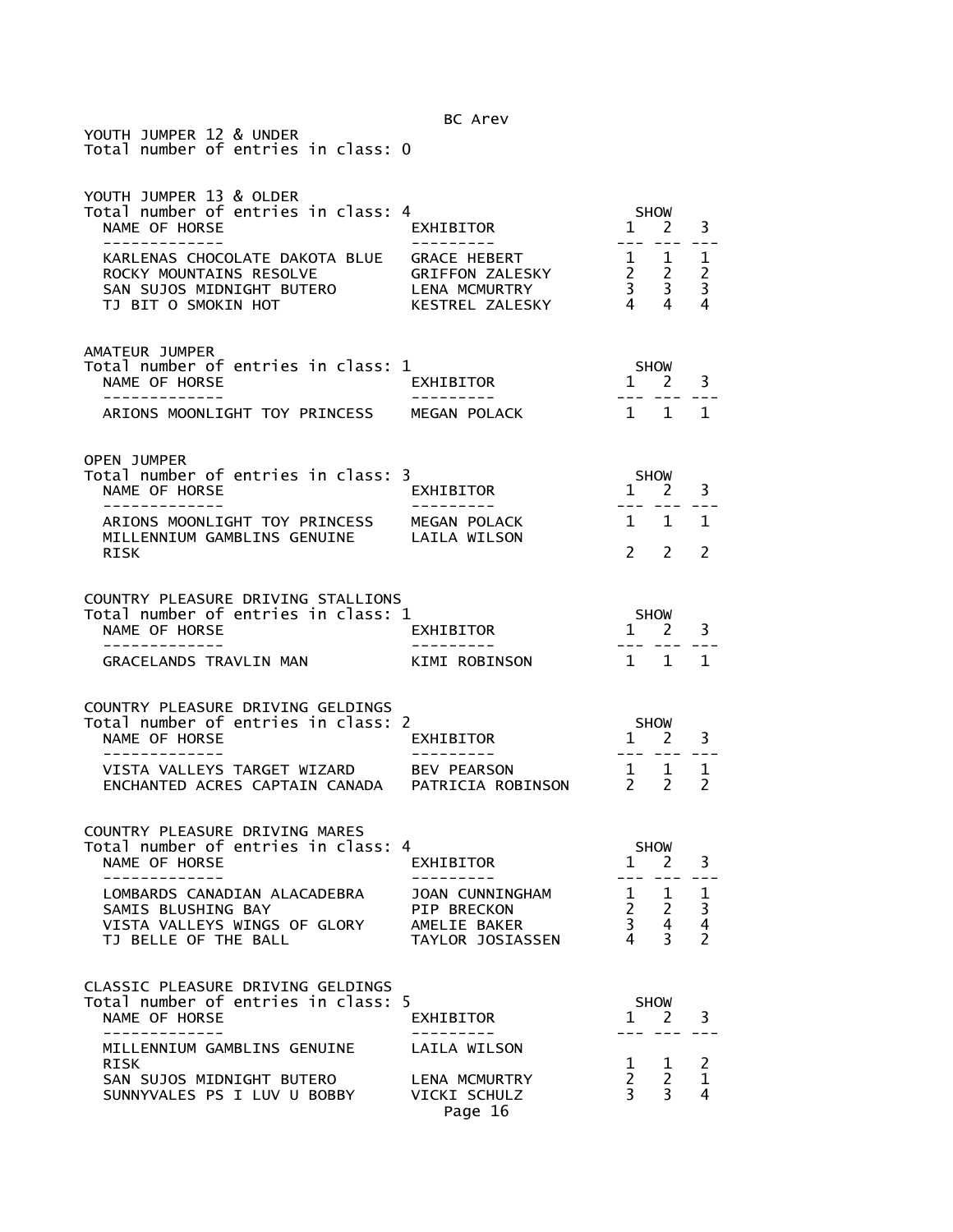YOUTH JUMPER 12 & UNDER Total number of entries in class: 0

| YOUTH JUMPER 13 & OLDER<br>Total number of entries in class: 4<br>NAME OF HORSE<br>--------------                          | EXHIBITOR<br>----------                                                   | <b>SHOW</b><br>3<br>$1 \quad 2$<br>$   \,$<br>$\frac{1}{2}$<br>$= -$                    |                                                       |                                      |
|----------------------------------------------------------------------------------------------------------------------------|---------------------------------------------------------------------------|-----------------------------------------------------------------------------------------|-------------------------------------------------------|--------------------------------------|
| KARLENAS CHOCOLATE DAKOTA BLUE GRACE HEBERT<br>ROCKY MOUNTAINS RESOLVE<br>SAN SUJOS MIDNIGHT BUTERO<br>TJ BIT O SMOKIN HOT | GRIFFON ZALESKY<br><b>LENA MCMURTRY</b><br>KESTREL ZALESKY                | $\frac{1}{2}$ $\frac{1}{2}$<br>$\begin{array}{ccc} 2 & 2 \\ 3 & 3 \\ 4 & 4 \end{array}$ |                                                       | 1<br>$\overline{2}$<br>3<br>4        |
| AMATEUR JUMPER<br>Total number of entries in class: 1<br>NAME OF HORSE<br>_____________                                    | EXHIBITOR<br>----------                                                   |                                                                                         | SHOW<br>$1 \quad 2$                                   | 3                                    |
| ARIONS MOONLIGHT TOY PRINCESS                                                                                              | MEGAN POLACK                                                              |                                                                                         | $1 \quad 1 \quad 1$                                   |                                      |
| <b>OPEN JUMPER</b><br>Total number of entries in class: 3<br>NAME OF HORSE                                                 | EXHIBITOR                                                                 | $1 \quad 2$                                                                             | SHOW                                                  | 3                                    |
| -------------<br>ARIONS MOONLIGHT TOY PRINCESS MEGAN POLACK<br>MILLENNIUM GAMBLINS GENUINE LAILA WILSON<br>RISK            | ----------                                                                | 1 1                                                                                     | $2 \quad 2$                                           | 1<br>2                               |
| COUNTRY PLEASURE DRIVING STALLIONS<br>Total number of entries in class: 1<br>NAME OF HORSE<br>-----------                  | EXHIBITOR                                                                 |                                                                                         | SHOW<br>1 2<br>--- ---                                | 3                                    |
| <b>GRACELANDS TRAVLIN MAN</b>                                                                                              | KIMI ROBINSON                                                             | $1 \quad 1$                                                                             |                                                       | 1                                    |
| COUNTRY PLEASURE DRIVING GELDINGS<br>Total number of entries in class: 2<br>NAME OF HORSE                                  | EXHIBITOR                                                                 | $1$ <sup><math>2</math></sup> $2$                                                       | SHOW                                                  | 3                                    |
| -------------<br>VISTA VALLEYS TARGET WIZARD      BEV PEARSON<br>ENCHANTED ACRES CAPTAIN CANADA   PATRICIA ROBINSON        | ----------                                                                | $\begin{array}{cc} 1 & 1 \\ 2 & 2 \end{array}$                                          | --- ---                                               | 1<br>$\mathcal{P}$                   |
| COUNTRY PLEASURE DRIVING MARES<br>Total number of entries in class: 4<br>NAME OF HORSE<br>-------------                    | EXHIBITOR                                                                 |                                                                                         | SHOW<br>$1 \quad 2$<br>--- --- ---                    | 3                                    |
| LOMBARDS CANADIAN ALACADEBRA<br>SAMIS BLUSHING BAY<br>VISTA VALLEYS WINGS OF GLORY<br>TJ BELLE OF THE BALL                 | JOAN CUNNINGHAM<br><b>PIP BRECKON</b><br>AMELIE BAKER<br>TAYLOR JOSIASSEN | 1<br>$\overline{a}$<br>$\overline{3}$<br>4                                              | $\mathbf{1}$<br>$\overline{2}$<br>$\overline{4}$<br>3 | 1<br>$\frac{3}{4}$<br>$\overline{2}$ |
| CLASSIC PLEASURE DRIVING GELDINGS<br>Total number of entries in class: 5<br>NAME OF HORSE                                  | EXHIBITOR                                                                 | $\mathbf{1}$                                                                            | <b>SHOW</b><br>$\overline{2}$                         | 3                                    |
| MILLENNIUM GAMBLINS GENUINE<br><b>RISK</b><br>SAN SUJOS MIDNIGHT BUTERO<br>SUNNYVALES PS I LUV U BOBBY                     | LAILA WILSON<br><b>LENA MCMURTRY</b><br>VICKI SCHULZ<br>Page 16           | 1<br>$\overline{2}$<br>$\overline{3}$                                                   | 1<br>$\overline{2}$<br>$\overline{3}$                 | 2<br>$\mathbf 1$<br>4                |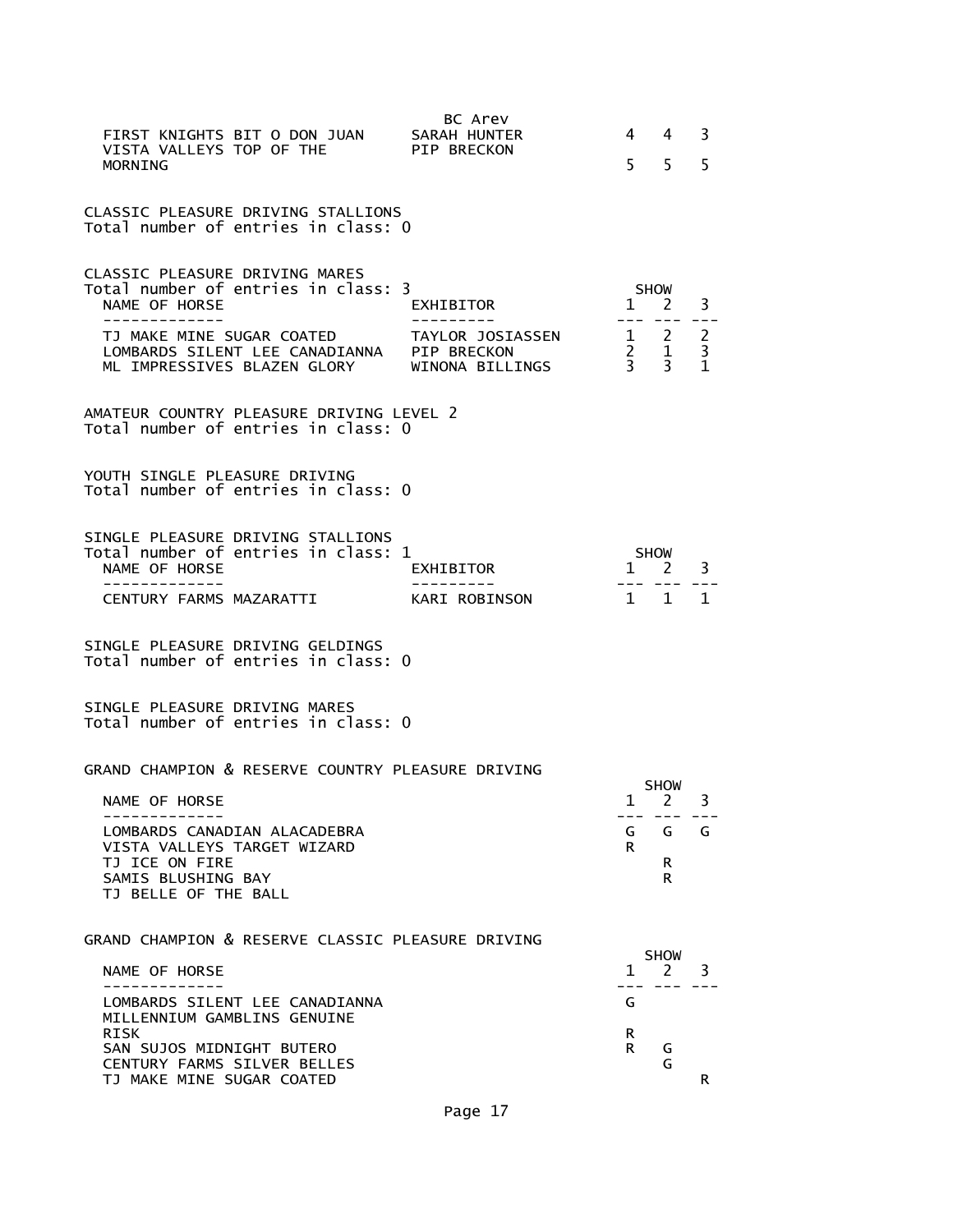| FIRST KNIGHTS BIT O DON JUAN<br>VISTA VALLEYS TOP OF THE<br><b>MORNTNG</b>                                                                                                                                   | BC Arev<br>SARAH HUNTER<br>PIP BRECKON                          | 4<br>5                                                        | 4<br>5                                     | 3<br>5                                   |
|--------------------------------------------------------------------------------------------------------------------------------------------------------------------------------------------------------------|-----------------------------------------------------------------|---------------------------------------------------------------|--------------------------------------------|------------------------------------------|
| CLASSIC PLEASURE DRIVING STALLIONS<br>Total number of entries in class: 0                                                                                                                                    |                                                                 |                                                               |                                            |                                          |
| <b>CLASSIC PLEASURE DRIVING MARES</b><br>Total number of entries in class: 3<br>NAME OF HORSE<br>-------------<br>TJ MAKE MINE SUGAR COATED<br>LOMBARDS SILENT LEE CANADIANNA<br>ML IMPRESSIVES BLAZEN GLORY | EXHIBITOR<br>TAYLOR JOSIASSEN<br>PIP BRECKON<br>WINONA BILLINGS | $1 \quad 2$<br>$\begin{array}{cc} 2 & 1 \\ 3 & 3 \end{array}$ | <b>SHOW</b><br>$1 \quad 2$<br>. <i>. .</i> | 3<br>$\overline{2}$<br>3<br>$\mathbf{1}$ |
| AMATEUR COUNTRY PLEASURE DRIVING LEVEL 2<br>Total number of entries in class: 0                                                                                                                              |                                                                 |                                                               |                                            |                                          |
| YOUTH SINGLE PLEASURE DRIVING<br>Total number of entries in class: 0                                                                                                                                         |                                                                 |                                                               |                                            |                                          |
| SINGLE PLEASURE DRIVING STALLIONS<br>Total number of entries in class: 1<br>NAME OF HORSE<br>CENTURY FARMS MAZARATTI                                                                                         | EXHIBITOR<br>KARI ROBINSON                                      | $\mathbf{1}$                                                  | <b>SHOW</b><br>2<br>$- - -$<br>1 1         | 3<br>1                                   |
| SINGLE PLEASURE DRIVING GELDINGS<br>Total number of entries in class: 0                                                                                                                                      |                                                                 |                                                               |                                            |                                          |
| SINGLE PLEASURE DRIVING MARES<br>Total number of entries in class: 0                                                                                                                                         |                                                                 |                                                               |                                            |                                          |
| GRAND CHAMPION & RESERVE COUNTRY PLEASURE DRIVING<br>NAME OF HORSE<br>------------                                                                                                                           |                                                                 | 1                                                             | <b>SHOW</b><br>2<br>--- --- ---            | 3                                        |
| LOMBARDS CANADIAN ALACADEBRA<br>VISTA VALLEYS TARGET WIZARD<br>TJ ICE ON FIRE<br>SAMIS BLUSHING BAY<br>TJ BELLE OF THE BALL                                                                                  |                                                                 | G<br>R.                                                       | G<br>R<br>R.                               | G                                        |
| GRAND CHAMPION & RESERVE CLASSIC PLEASURE DRIVING                                                                                                                                                            |                                                                 |                                                               | <b>SHOW</b>                                |                                          |
| NAME OF HORSE                                                                                                                                                                                                |                                                                 | 1                                                             | 2                                          | 3.                                       |
| LOMBARDS SILENT LEE CANADIANNA<br>MILLENNIUM GAMBLINS GENUINE<br>RISK                                                                                                                                        |                                                                 | G<br>R.                                                       |                                            |                                          |
| SAN SUJOS MIDNIGHT BUTERO<br>CENTURY FARMS SILVER BELLES<br>TJ MAKE MINE SUGAR COATED                                                                                                                        |                                                                 | R.                                                            | G<br>G                                     | R                                        |